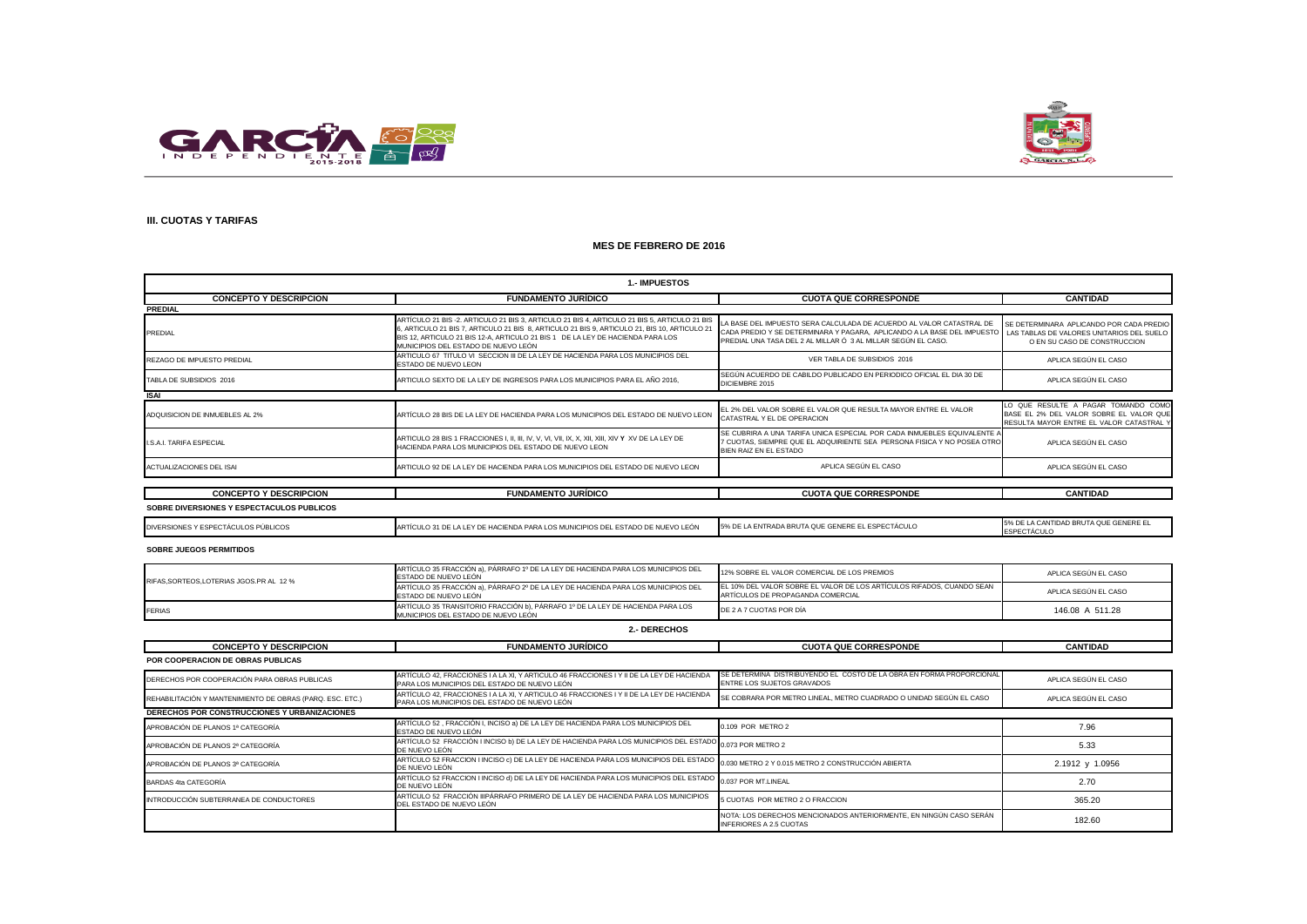



## **III. CUOTAS Y TARIFAS**

### **MES DE FEBRERO DE 2016**

| <b>1. IMPUESTOS</b>                       |                                                                                                                                                                                                                                                                                                                       |                                                                                                                                                                                                                                                              |                                                                                                                            |
|-------------------------------------------|-----------------------------------------------------------------------------------------------------------------------------------------------------------------------------------------------------------------------------------------------------------------------------------------------------------------------|--------------------------------------------------------------------------------------------------------------------------------------------------------------------------------------------------------------------------------------------------------------|----------------------------------------------------------------------------------------------------------------------------|
| <b>CONCEPTO Y DESCRIPCION</b>             | <b>FUNDAMENTO JURÍDICO</b>                                                                                                                                                                                                                                                                                            | <b>CUOTA QUE CORRESPONDE</b>                                                                                                                                                                                                                                 | <b>CANTIDAD</b>                                                                                                            |
| <b>PREDIAL</b>                            |                                                                                                                                                                                                                                                                                                                       |                                                                                                                                                                                                                                                              |                                                                                                                            |
| PREDIAL                                   | ARTÍCULO 21 BIS -2. ARTICULO 21 BIS 3, ARTICULO 21 BIS 4, ARTICULO 21 BIS 5, ARTICULO 21 BIS<br>6, ARTICULO 21 BIS 7, ARTICULO 21 BIS 8, ARTICULO 21 BIS 9, ARTICULO 21, BIS 10, ARTICULO 21<br>BIS 12, ARTICULO 21 BIS 12-A, ARTICULO 21 BIS 1 DE LA LEY DE HACIENDA PARA LOS<br>MUNICIPIOS DEL ESTADO DE NUEVO LEÓN | LA BASE DEL IMPUESTO SERA CALCULADA DE ACUERDO AL VALOR CATASTRAL DE<br>CADA PREDIO Y SE DETERMINARA Y PAGARA, APLICANDO A LA BASE DEL IMPUESTO LAS TABLAS DE VALORES UNITARIOS DEL SUELO I<br>PREDIAL UNA TASA DEL 2 AL MILLAR Ó 3 AL MILLAR SEGÚN EL CASO. | SE DETERMINARA APLICANDO POR CADA PREDIO<br>O EN SU CASO DE CONSTRUCCION                                                   |
| REZAGO DE IMPUESTO PREDIAL                | ARTICULO 67 TITULO VI SECCION III DE LA LEY DE HACIENDA PARA LOS MUNICIPIOS DEL<br>ESTADO DE NUEVO LEON                                                                                                                                                                                                               | VER TABLA DE SUBSIDIOS 2016                                                                                                                                                                                                                                  | APLICA SEGÚN EL CASO                                                                                                       |
| TABLA DE SUBSIDIOS 2016                   | ARTICULO SEXTO DE LA LEY DE INGRESOS PARA LOS MUNICIPIOS PARA EL AÑO 2016.                                                                                                                                                                                                                                            | SEGÚN ACUERDO DE CABILDO PUBLICADO EN PERIODICO OFICIAL EL DIA 30 DE<br>DICIEMBRE 2015                                                                                                                                                                       | APLICA SEGÚN EL CASO                                                                                                       |
| <b>ISAI</b>                               |                                                                                                                                                                                                                                                                                                                       |                                                                                                                                                                                                                                                              |                                                                                                                            |
| ADQUISICION DE INMUEBLES AL 2%            | ARTÍCULO 28 BIS DE LA LEY DE HACIENDA PARA LOS MUNICIPIOS DEL ESTADO DE NUEVO LEON                                                                                                                                                                                                                                    | EL 2% DEL VALOR SOBRE EL VALOR QUE RESULTA MAYOR ENTRE EL VALOR<br>CATASTRAL Y EL DE OPERACION                                                                                                                                                               | LO QUE RESULTE A PAGAR TOMANDO COMO<br>BASE EL 2% DEL VALOR SOBRE EL VALOR QUE<br>RESULTA MAYOR ENTRE EL VALOR CATASTRAL Y |
| I.S.A.I. TARIFA ESPECIAL                  | HACIENDA PARA LOS MUNICIPIOS DEL ESTADO DE NUEVO LEON                                                                                                                                                                                                                                                                 | SE CUBRIRA A UNA TARIFA UNICA ESPECIAL POR CADA INMUEBLES EQUIVALENTE A<br>7 CUOTAS. SIEMPRE QUE EL ADQUIRIENTE SEA PERSONA FISICA Y NO POSEA OTRO<br>BIEN RAIZ EN EL ESTADO                                                                                 | APLICA SEGÚN EL CASO                                                                                                       |
| ACTUALIZACIONES DEL ISAI                  | ARTICULO 92 DE LA LEY DE HACIENDA PARA LOS MUNICIPIOS DEL ESTADO DE NUEVO LEON                                                                                                                                                                                                                                        | APLICA SEGÚN EL CASO                                                                                                                                                                                                                                         | APLICA SEGÚN EL CASO                                                                                                       |
|                                           |                                                                                                                                                                                                                                                                                                                       |                                                                                                                                                                                                                                                              |                                                                                                                            |
| <b>CONCEPTO Y DESCRIPCION</b>             | <b>FUNDAMENTO JURIDICO</b>                                                                                                                                                                                                                                                                                            | <b>CUOTA QUE CORRESPONDE</b>                                                                                                                                                                                                                                 | <b>CANTIDAD</b>                                                                                                            |
| SOBRE DIVERSIONES Y ESPECTACULOS PUBLICOS |                                                                                                                                                                                                                                                                                                                       |                                                                                                                                                                                                                                                              |                                                                                                                            |

| DIVERSIONES Y ESPEC<br>OS PUBLICOS<br>: I A C | E NUEVO LEÓN<br><b>TENDA PARA LOS MUNICIPIOS DEL.</b><br>- | ገE LA ENTRADA BRUTA QU.<br>™ EL ESPECTACUL∪<br>GENERE<br>1070 L | -----------<br>IDAD BRUTA QUE GENERE EL |
|-----------------------------------------------|------------------------------------------------------------|-----------------------------------------------------------------|-----------------------------------------|
|                                               |                                                            |                                                                 | <b>UIAUUL</b>                           |

#### **SOBRE JUEGOS PERMITIDOS**

| RIFAS.SORTEOS.LOTERIAS JGOS.PR AL 12 % | ARTÍCULO 35 FRACCIÓN a), PÁRRAFO 1º DE LA LEY DE HACIENDA PARA LOS MUNICIPIOS DEL<br>ESTADO DE NUEVO LEÓN             | 12% SOBRE EL VALOR COMERCIAL DE LOS PREMIOS                                                                | APLICA SEGUN EL CASO |
|----------------------------------------|-----------------------------------------------------------------------------------------------------------------------|------------------------------------------------------------------------------------------------------------|----------------------|
|                                        | ARTÍCULO 35 FRACCIÓN a). PÁRRAFO 2º DE LA LEY DE HACIENDA PARA LOS MUNICIPIOS DEL<br>ESTADO DE NUEVO LEÓN             | EL 10% DEL VALOR SOBRE EL VALOR DE LOS ARTÍCULOS RIFADOS. CUANDO SEAN<br>ARTÍCULOS DE PROPAGANDA COMERCIAL | APLICA SEGÚN EL CASO |
| <b>FERIAS</b>                          | ARTÍCULO 35 TRANSITORIO FRACCIÓN b). PÁRRAFO 1º DE LA LEY DE HACIENDA PARA LOS<br>MUNICIPIOS DEL ESTADO DE NUEVO LEÓN | DE 2 A 7 CUOTAS POR DÍA                                                                                    | 146.08 A 511.28      |

| 2.- DERECHOS |
|--------------|
|--------------|

| <b>CONCEPTO Y DESCRIPCION</b>                             | <b>FUNDAMENTO JURÍDICO</b>                                                                                                                                                                          | <b>CUOTA QUE CORRESPONDE</b>                                                                         | <b>CANTIDAD</b>      |
|-----------------------------------------------------------|-----------------------------------------------------------------------------------------------------------------------------------------------------------------------------------------------------|------------------------------------------------------------------------------------------------------|----------------------|
| <b>POR COOPERACION DE OBRAS PUBLICAS</b>                  |                                                                                                                                                                                                     |                                                                                                      |                      |
| DERECHOS POR COOPERACIÓN PARA OBRAS PUBLICAS              | ARTÍCULO 42. FRACCIONES I A LA XI. Y ARTICULO 46 FRACCIONES I Y II DE LA LEY DE HACIENDA<br>PARA LOS MUNICIPIOS DEL ESTADO DE NUEVO LEÓN                                                            | SE DETERMINA DISTRIBUYENDO EL COSTO DE LA OBRA EN FORMA PROPORCIONAL<br>ENTRE LOS SUJETOS GRAVADOS   | APLICA SEGÚN EL CASO |
| REHABILITACIÓN Y MANTENIMIENTO DE OBRAS (PARQ. ESC. ETC.) | ARTÍCULO 42, FRACCIONES I A LA XI, Y ARTICULO 46 FRACCIONES I Y II DE LA LEY DE HACIENDA<br>PARA LOS MUNICIPIOS DEL ESTADO DE NUEVO LEÓN                                                            | SE COBRARA POR METRO LINEAL, METRO CUADRADO O UNIDAD SEGÚN EL CASO                                   | APLICA SEGÚN EL CASO |
| <b>DERECHOS POR CONSTRUCCIONES Y URBANIZACIONES</b>       |                                                                                                                                                                                                     |                                                                                                      |                      |
| APROBACIÓN DE PLANOS 1ª CATEGORÍA                         | ARTÍCULO 52, FRACCIÓN I, INCISO a) DE LA LEY DE HACIENDA PARA LOS MUNICIPIOS DEL<br>ESTADO DE NUEVO LEÓN                                                                                            | 0.109 POR METRO 2                                                                                    | 7.96                 |
| APROBACIÓN DE PLANOS 2ª CATEGORÍA                         | ARTÍCULO 52 FRACCIÓN I INCISO b) DE LA LEY DE HACIENDA PARA LOS MUNICIPIOS DEL ESTADO 0.073 POR METRO 2<br>DE NUEVO LEÓN                                                                            |                                                                                                      | 5.33                 |
| APROBACIÓN DE PLANOS 3ª CATEGORÍA                         | ARTÍCULO 52 FRACCION I INCISO c) DE LA LEY DE HACIENDA PARA LOS MUNICIPIOS DEL ESTADO $\left[0.030\text{ METRO }2\text{ Y }0.015\text{ METRO }2\text{ CONSTRUCClÓN ABIETA}\right]$<br>DE NUEVO LEÓN |                                                                                                      | 2.1912 y 1.0956      |
| BARDAS 4ta CATEGORÍA                                      | ARTÍCULO 52 FRACCION I INCISO d) DE LA LEY DE HACIENDA PARA LOS MUNICIPIOS DEL ESTADO<br>DE NUEVO LEÓN                                                                                              | 0.037 POR MT.LINEAL                                                                                  | 2.70                 |
| INTRODUCCIÓN SUBTERRANEA DE CONDUCTORES                   | ARTÍCULO 52  FRACCIÓN IIIPÁRRAFO PRIMERO DE LA LEY DE HACIENDA PARA LOS MUNICIPIOS<br>DEL ESTADO DE NUEVO LEÓN                                                                                      | 5 CUOTAS POR METRO 2 O FRACCION                                                                      | 365.20               |
|                                                           |                                                                                                                                                                                                     | NOTA: LOS DERECHOS MENCIONADOS ANTERIORMENTE. EN NINGÚN CASO SERÁN<br><b>INFERIORES A 2.5 CUOTAS</b> | 182.60               |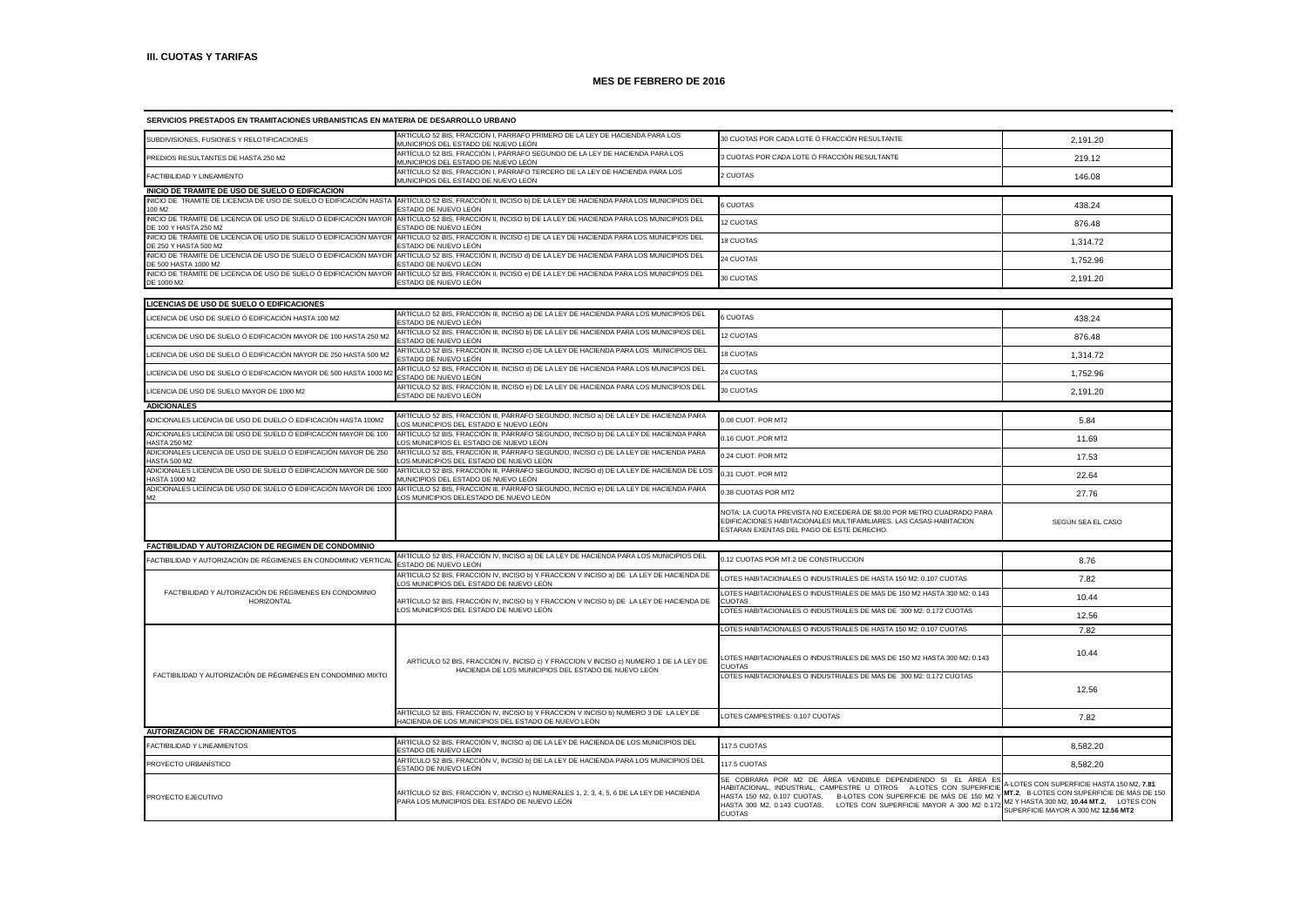| SERVICIOS PRESTADOS EN TRAMITACIONES URBANISTICAS EN MATERIA DE DESARROLLO URBANO          |                                                                                                                                             |                                                                                                                                                                                                                                                                                                  |                                                                                                                                                                            |
|--------------------------------------------------------------------------------------------|---------------------------------------------------------------------------------------------------------------------------------------------|--------------------------------------------------------------------------------------------------------------------------------------------------------------------------------------------------------------------------------------------------------------------------------------------------|----------------------------------------------------------------------------------------------------------------------------------------------------------------------------|
| SUBDIVISIONES, FUSIONES Y RELOTIFICACIONES                                                 | ARTÍCULO 52 BIS, FRACCIÓN I, PÁRRAFO PRIMERO DE LA LEY DE HACIENDA PARA LOS<br>MUNICIPIOS DEL ESTADO DE NUEVO LEÓN                          | 30 CUOTAS POR CADA LOTE Ó FRACCIÓN RESULTANTE                                                                                                                                                                                                                                                    | 2,191.20                                                                                                                                                                   |
| PREDIOS RESULTANTES DE HASTA 250 M2                                                        | ARTÍCULO 52 BIS, FRACCIÓN I, PÁRRAFO SEGUNDO DE LA LEY DE HACIENDA PARA LOS<br>MUNICIPIOS DEL ESTADO DE NUEVO LEÓN                          | 3 CUOTAS POR CADA LOTE Ó FRACCIÓN RESULTANTE                                                                                                                                                                                                                                                     | 219.12                                                                                                                                                                     |
| FACTIBILIDAD Y LINEAMIENTO                                                                 | ARTÍCULO 52 BIS, FRACCIÓN I, PÁRRAFO TERCERO DE LA LEY DE HACIENDA PARA LOS<br>MUNICIPIOS DEL ESTADO DE NUEVO LEÓN                          | 2 CUOTAS                                                                                                                                                                                                                                                                                         | 146.08                                                                                                                                                                     |
| INICIO DE TRAMITE DE USO DE SUELO O EDIFICACION                                            |                                                                                                                                             |                                                                                                                                                                                                                                                                                                  |                                                                                                                                                                            |
| INICIO DE TRAMITE DE LICENCIA DE USO DE SUELO O EDIFICACIÓN HASTA<br>100 M2                | ARTÍCULO 52 BIS, FRACCIÓN II, INCISO b) DE LA LEY DE HACIENDA PARA LOS MUNICIPIOS DEL<br>STADO DE NUEVO LEÓN                                | <b>6 CUOTAS</b>                                                                                                                                                                                                                                                                                  | 438.24                                                                                                                                                                     |
| INICIO DE TRÁMITE DE LICENCIA DE USO DE SUELO Ó EDIFICACIÓN MAYOR<br>DE 100 Y HASTA 250 M2 | ARTÍCULO 52 BIS, FRACCIÓN II, INCISO b) DE LA LEY DE HACIENDA PARA LOS MUNICIPIOS DEL<br>ESTADO DE NUEVO LEÓN                               | 12 CUOTAS                                                                                                                                                                                                                                                                                        | 876.48                                                                                                                                                                     |
| INICIO DE TRÁMITE DE LICENCIA DE USO DE SUELO Ó EDIFICACIÓN MAYOR<br>DE 250 Y HASTA 500 M2 | ARTÍCULO 52 BIS, FRACCIÓN II, INCISO c) DE LA LEY DE HACIENDA PARA LOS MUNICIPIOS DEL<br>ESTADO DE NUEVO LEÓN                               | 18 CUOTAS                                                                                                                                                                                                                                                                                        | 1,314.72                                                                                                                                                                   |
| INICIO DE TRÁMITE DE LICENCIA DE USO DE SUELO Ó EDIFICACIÓN MAYOR<br>DE 500 HASTA 1000 M2  | ARTÍCULO 52 BIS, FRACCIÓN II, INCISO d) DE LA LEY DE HACIENDA PARA LOS MUNICIPIOS DEL<br>ESTADO DE NUEVO LEÓN                               | 24 CUOTAS                                                                                                                                                                                                                                                                                        | 1,752.96                                                                                                                                                                   |
| INICIO DE TRÁMITE DE LICENCIA DE USO DE SUELO Ó EDIFICACIÓN MAYOR<br>DE 1000 M2            | ARTÍCULO 52 BIS, FRACCIÓN II, INCISO e) DE LA LEY DE HACIENDA PARA LOS MUNICIPIOS DEL<br>ESTADO DE NUEVO LEÓN                               | 30 CUOTAS                                                                                                                                                                                                                                                                                        | 2.191.20                                                                                                                                                                   |
| LICENCIAS DE USO DE SUELO O EDIFICACIONES                                                  |                                                                                                                                             |                                                                                                                                                                                                                                                                                                  |                                                                                                                                                                            |
|                                                                                            | ARTÍCULO 52 BIS, FRACCIÓN III, INCISO a) DE LA LEY DE HACIENDA PARA LOS MUNICIPIOS DEL                                                      |                                                                                                                                                                                                                                                                                                  |                                                                                                                                                                            |
| ICENCIA DE USO DE SUELO Ó EDIFICACIÓN HASTA 100 M2.                                        | ESTADO DE NUEVO LEÓN<br>ARTÍCULO 52 BIS, FRACCIÓN III, INCISO b) DE LA LEY DE HACIENDA PARA LOS MUNICIPIOS DEL                              | 6 CUOTAS                                                                                                                                                                                                                                                                                         | 438.24                                                                                                                                                                     |
| LICENCIA DE USO DE SUELO Ó EDIFICACIÓN MAYOR DE 100 HASTA 250 M2                           | ESTADO DE NUEVO LEÓN<br>ARTÍCULO 52 BIS, FRACCIÓN III, INCISO c) DE LA LEY DE HACIENDA PARA LOS MUNICIPIOS DEL                              | 12 CUOTAS                                                                                                                                                                                                                                                                                        | 876.48                                                                                                                                                                     |
| LICENCIA DE USO DE SUELO Ó EDIFICACIÓN MAYOR DE 250 HASTA 500 M2                           | FSTADO DE NUEVO I FÓN<br>ARTÍCULO 52 BIS, FRACCIÓN III, INCISO d) DE LA LEY DE HACIENDA PARA LOS MUNICIPIOS DEL                             | <b>8 CUOTAS</b>                                                                                                                                                                                                                                                                                  | 1,314.72                                                                                                                                                                   |
| LICENCIA DE USO DE SUELO Ó EDIFICACIÓN MAYOR DE 500 HASTA 1000 M2                          | ESTADO DE NUEVO LEÓN<br>ARTÍCULO 52 BIS, FRACCIÓN III, INCISO e) DE LA LEY DE HACIENDA PARA LOS MUNICIPIOS DEL                              | 24 CUOTAS                                                                                                                                                                                                                                                                                        | 1,752.96                                                                                                                                                                   |
| LICENCIA DE USO DE SUELO MAYOR DE 1000 M2                                                  | ESTADO DE NUEVO LEÓN                                                                                                                        | 30 CUOTAS                                                                                                                                                                                                                                                                                        | 2,191.20                                                                                                                                                                   |
| <b>ADICIONALES</b>                                                                         | ARTÍCULO 52 BIS, FRACCIÓN III, PÁRRAFO SEGUNDO, INCISO a) DE LA LEY DE HACIENDA PARA                                                        |                                                                                                                                                                                                                                                                                                  |                                                                                                                                                                            |
| ADICIONALES LICENCIA DE USO DE DUELO Ó EDIFICACIÓN HASTA 100M2                             | OS MUNICIPIOS DEL ESTADO E NUEVO LEÓN.                                                                                                      | 0.08 CUOT. POR MT2                                                                                                                                                                                                                                                                               | 5.84                                                                                                                                                                       |
| ADICIONALES LICENCIA DE USO DE SUELO Ó EDIFICACIÓN MAYOR DE 100<br><b>IASTA 250 M2</b>     | ARTÍCULO 52 BIS, FRACCIÓN III, PÁRRAFO SEGUNDO, INCISO b) DE LA LEY DE HACIENDA PARA<br>OS MUNICIPIOS EL ESTADO DE NUEVO LEÓN               | 0.16 CUOT., POR MT2                                                                                                                                                                                                                                                                              | 11.69                                                                                                                                                                      |
| ADICIONALES LICENCIA DE USO DE SUELO Ó EDIFICACIÓN MAYOR DE 250<br><b>HASTA 500 M2</b>     | ARTÍCULO 52 BIS, FRACCIÓN III, PÁRRAFO SEGUNDO, INCISO c) DE LA LEY DE HACIENDA PARA<br>OS MUNICIPIOS DEL ESTADO DE NUEVO LEÓN.             | 0.24 CUOT. POR MT2                                                                                                                                                                                                                                                                               | 17.53                                                                                                                                                                      |
| ADICIONALES LICENCIA DE USO DE SUELO Ó EDIFICACIÓN MAYOR DE 500<br><b>HASTA 1000 M2</b>    | ARTÍCULO 52 BIS, FRACCIÓN III, PÁRRAFO SEGUNDO, INCISO d) DE LA LEY DE HACIENDA DE LOS<br>MUNICIPIOS DEL ESTADO DE NUEVO LEÓN               | 0.31 CUOT. POR MT2                                                                                                                                                                                                                                                                               | 22.64                                                                                                                                                                      |
| ADICIONALES LICENCIA DE USO DE SUELO Ó EDIFICACIÓN MAYOR DE 1000                           | ARTÍCULO 52 BIS, FRACCIÓN III, PÁRRAFO SEGUNDO, INCISO e) DE LA LEY DE HACIENDA PARA<br>OS MUNICIPIOS DELESTADO DE NUEVO LEÓN               | 0.38 CUOTAS POR MT2                                                                                                                                                                                                                                                                              | 27.76                                                                                                                                                                      |
|                                                                                            |                                                                                                                                             | NOTA: LA CUOTA PREVISTA NO EXCEDERÁ DE \$8.00 POR METRO CUADRADO PARA<br>EDIFICACIONES HABITACIONALES MULTIFAMILIARES. LAS CASAS-HABITACION<br>ESTARAN EXENTAS DEL PAGO DE ESTE DERECHO.                                                                                                         | SEGUN SEA EL CASO                                                                                                                                                          |
| FACTIBILIDAD Y AUTORIZACION DE REGIMEN DE CONDOMINIO                                       |                                                                                                                                             |                                                                                                                                                                                                                                                                                                  |                                                                                                                                                                            |
| FACTIBILIDAD Y AUTORIZACIÓN DE RÉGIMENES EN CONDOMINIO VERTICAL                            | ARTÍCULO 52 BIS, FRACCIÓN IV, INCISO a) DE LA LEY DE HACIENDA PARA LOS MUNICIPIOS DEL<br>ESTADO DE NUEVO LEÓN                               | 0.12 CUOTAS POR MT.2 DE CONSTRUCCION                                                                                                                                                                                                                                                             | 8.76                                                                                                                                                                       |
|                                                                                            | ARTÍCULO 52 BIS, FRACCIÓN IV, INCISO b) Y FRACCION V INCISO a) DE LA LEY DE HACIENDA DE<br>LOS MUNICIPIOS DEL ESTADO DE NUEVO LEÓN          | OTES HABITACIONALES O INDUSTRIALES DE HASTA 150 M2: 0.107 CUOTAS                                                                                                                                                                                                                                 | 7.82                                                                                                                                                                       |
| FACTIBILIDAD Y AUTORIZACIÓN DE RÉGIMENES EN CONDOMINIO<br>HORIZONTAL                       | ARTÍCULO 52 BIS, FRACCIÓN IV, INCISO b) Y FRACCION V INCISO b) DE LA LEY DE HACIENDA DE                                                     | LOTES HABITACIONALES O INDUSTRIALES DE MAS DE 150 M2 HASTA 300 M2: 0.143<br><b>CUOTAS</b>                                                                                                                                                                                                        | 10.44                                                                                                                                                                      |
|                                                                                            | LOS MUNICIPIOS DEL ESTADO DE NUEVO LEÓN                                                                                                     | LOTES HABITACIONALES O INDUSTRIALES DE MAS DE 300 M2: 0.172 CUOTAS                                                                                                                                                                                                                               | 12.56                                                                                                                                                                      |
|                                                                                            |                                                                                                                                             | LOTES HABITACIONALES O INDUSTRIALES DE HASTA 150 M2: 0.107 CUOTAS                                                                                                                                                                                                                                | 7.82                                                                                                                                                                       |
|                                                                                            | ARTÍCULO 52 BIS, FRACCIÓN IV, INCISO c) Y FRACCION V INCISO c) NUMERO 1 DE LA LEY DE<br>HACIENDA DE LOS MUNICIPIOS DEL ESTADO DE NUEVO LEÓN | LOTES HABITACIONALES O INDUSTRIALES DE MAS DE 150 M2 HASTA 300 M2: 0.143<br><b>CUOTAS</b>                                                                                                                                                                                                        | 10.44                                                                                                                                                                      |
| FACTIBILIDAD Y AUTORIZACIÓN DE RÉGIMENES EN CONDOMINIO MIXTO                               |                                                                                                                                             | OTES HABITACIONALES O INDUSTRIALES DE MAS DE 300 M2: 0.172 CUOTAS                                                                                                                                                                                                                                | 12.56                                                                                                                                                                      |
|                                                                                            | ARTÍCULO 52 BIS, FRACCIÓN IV, INCISO b) Y FRACCION V INCISO b) NUMERO 3 DE LA LEY DE<br>IACIENDA DE LOS MUNICIPIOS DEL ESTADO DE NUEVO LEÓN | LOTES CAMPESTRES: 0.107 CUOTAS                                                                                                                                                                                                                                                                   | 7.82                                                                                                                                                                       |
| AUTORIZACION DE FRACCIONAMIENTOS                                                           |                                                                                                                                             |                                                                                                                                                                                                                                                                                                  |                                                                                                                                                                            |
| FACTIBILIDAD Y LINEAMIENTOS                                                                | ARTÍCULO 52 BIS, FRACCIÓN V, INCISO a) DE LA LEY DE HACIENDA DE LOS MUNICIPIOS DEL<br>ESTADO DE NUEVO LEÓN                                  | 117.5 CUOTAS                                                                                                                                                                                                                                                                                     | 8,582.20                                                                                                                                                                   |
| PROYECTO URBANÍSTICO                                                                       | ARTÍCULO 52 BIS, FRACCIÓN V, INCISO b) DE LA LEY DE HACIENDA PARA LOS MUNICIPIOS DEL<br>ESTADO DE NUEVO LEÓN                                | 117.5 CUOTAS                                                                                                                                                                                                                                                                                     | 8,582.20                                                                                                                                                                   |
| PROYECTO EJECUTIVO                                                                         | ARTÍCULO 52 BIS, FRACCIÓN V, INCISO c) NUMERALES 1, 2, 3, 4, 5, 6 DE LA LEY DE HACIENDA<br>PARA LOS MUNICIPIOS DEL ESTADO DE NUEVO LEÓN     | SE COBRARA POR M2 DE ÁREA VENDIBLE DEPENDIENDO SI EL ÁREA E<br>HABITACIONAL, INDUSTRIAL, CAMPESTRE U OTROS A-LOTES CON SUPERFICI<br>HASTA 150 M2, 0.107 CUOTAS, B-LOTES CON SUPERFICIE DE MÁS DE 150 M2<br>HASTA 300 M2, 0.143 CUOTAS, LOTES CON SUPERFICIE MAYOR A 300 M2 0.17<br><b>CUOTAS</b> | 4-LOTES CON SUPERFICIE HASTA 150 M2. 7.81<br>MT.2. B-LOTES CON SUPERFICIE DE MÁS DE 150<br>M2 Y HASTA 300 M2, 10.44 MT.2, LOTES CON<br>SUPERFICIE MAYOR A 300 M2 12.56 MT2 |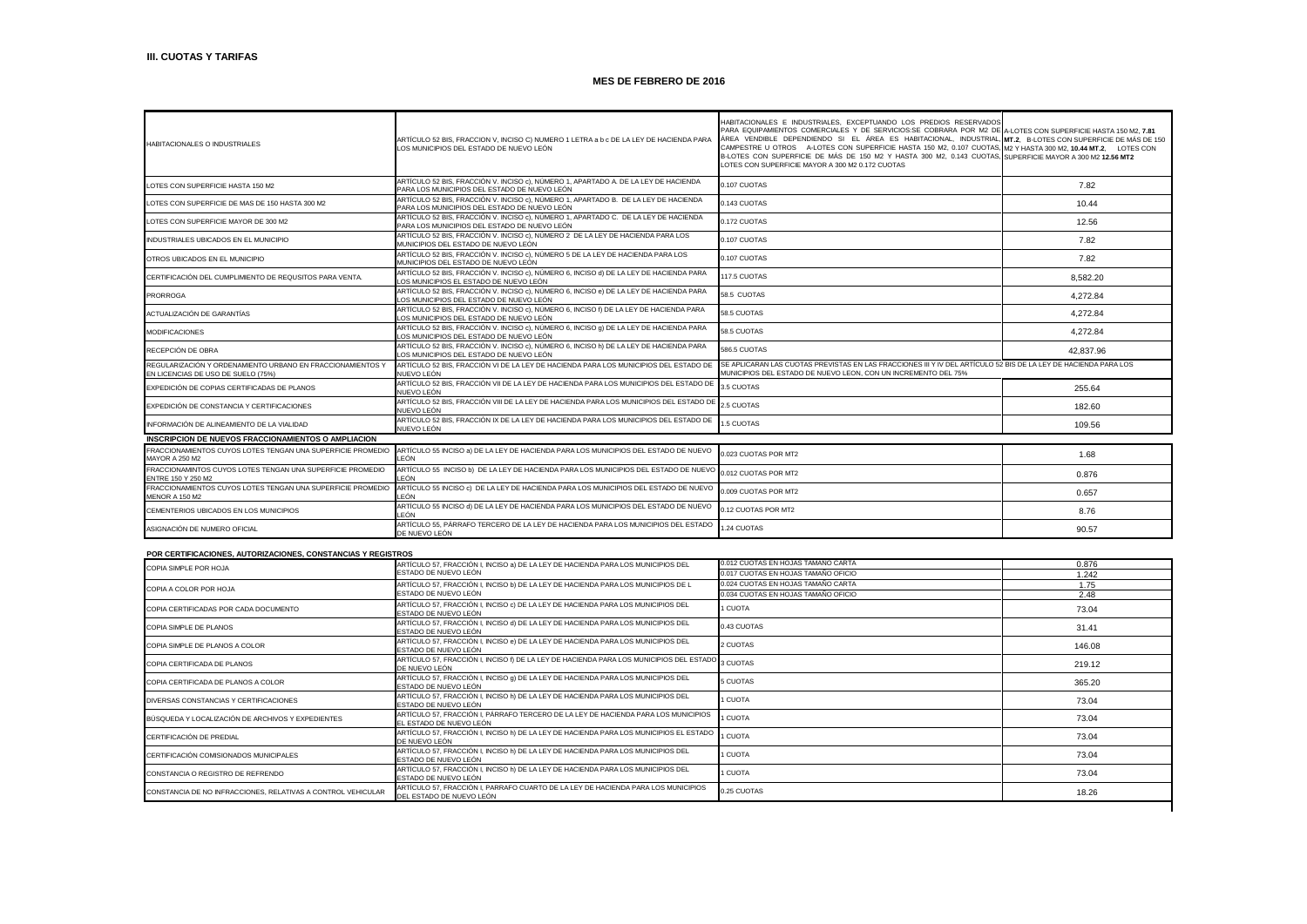| HABITACIONALES O INDUSTRIALES                                                                    | ARTÍCULO 52 BIS, FRACCION V, INCISO C) NUMERO 1 LETRA a b c DE LA LEY DE HACIENDA PARA<br>LOS MUNICIPIOS DEL ESTADO DE NUEVO LEÓN   | HABITACIONALES E INDUSTRIALES, EXCEPTUANDO LOS PREDIOS RESERVADOS<br>PARA EQUIPAMIENTOS COMERCIALES Y DE SERVICIOS:SE COBRARA POR M2 DE A-LOTES CON SUPERFICIE HASTA 150 M2, 7.81<br>ÁREA VENDIBLE DEPENDIENDO SI EL ÁREA ES HABITACIONAL, INDUSTRIAL, MT.2. B-LOTES CON SUPERFICIE DE MÁS DE 150<br>CAMPESTRE U OTROS A-LOTES CON SUPERFICIE HASTA 150 M2, 0.107 CUOTAS, M2 Y HASTA 300 M2, 10.44 MT.2, LOTES CON<br>B-LOTES CON SUPERFICIE DE MÁS DE 150 M2 Y HASTA 300 M2, 0.143 CUOTAS, SUPERFICIE MAYOR A 300 M2 12.56 MT2<br>LOTES CON SUPERFICIE MAYOR A 300 M2 0.172 CUOTAS |           |
|--------------------------------------------------------------------------------------------------|-------------------------------------------------------------------------------------------------------------------------------------|-------------------------------------------------------------------------------------------------------------------------------------------------------------------------------------------------------------------------------------------------------------------------------------------------------------------------------------------------------------------------------------------------------------------------------------------------------------------------------------------------------------------------------------------------------------------------------------|-----------|
| LOTES CON SUPERFICIE HASTA 150 M2                                                                | ARTÍCULO 52 BIS, FRACCIÓN V. INCISO c), NÚMERO 1, APARTADO A. DE LA LEY DE HACIENDA<br>PARA LOS MUNICIPIOS DEL ESTADO DE NUEVO LEÓN | 0.107 CUOTAS                                                                                                                                                                                                                                                                                                                                                                                                                                                                                                                                                                        | 7.82      |
| LOTES CON SUPERFICIE DE MAS DE 150 HASTA 300 M2                                                  | ARTÍCULO 52 BIS. FRACCIÓN V. INCISO c). NÚMERO 1. APARTADO B. DE LA LEY DE HACIENDA<br>PARA LOS MUNICIPIOS DEL ESTADO DE NUEVO LEÓN | 0.143 CUOTAS                                                                                                                                                                                                                                                                                                                                                                                                                                                                                                                                                                        | 10.44     |
| LOTES CON SUPERFICIE MAYOR DE 300 M2                                                             | ARTÍCULO 52 BIS. FRACCIÓN V. INCISO c). NÚMERO 1. APARTADO C. DE LA LEY DE HACIENDA<br>PARA LOS MUNICIPIOS DEL ESTADO DE NUEVO LEÓN | 0.172 CUOTAS                                                                                                                                                                                                                                                                                                                                                                                                                                                                                                                                                                        | 12.56     |
| INDUSTRIALES UBICADOS EN EL MUNICIPIO                                                            | ARTÍCULO 52 BIS, FRACCIÓN V. INCISO c), NÚMERO 2 DE LA LEY DE HACIENDA PARA LOS<br>MUNICIPIOS DEL ESTADO DE NUEVO LEÓN              | 0.107 CUOTAS                                                                                                                                                                                                                                                                                                                                                                                                                                                                                                                                                                        | 7.82      |
| OTROS UBICADOS EN EL MUNICIPIO                                                                   | ARTÍCULO 52 BIS. FRACCIÓN V. INCISO c). NÚMERO 5 DE LA LEY DE HACIENDA PARA LOS<br>MUNICIPIOS DEL ESTADO DE NUEVO LEÓN              | 0.107 CUOTAS                                                                                                                                                                                                                                                                                                                                                                                                                                                                                                                                                                        | 7.82      |
| CERTIFICACIÓN DEL CUMPLIMIENTO DE REQUSITOS PARA VENTA.                                          | ARTÍCULO 52 BIS. FRACCIÓN V. INCISO c). NÚMERO 6. INCISO d) DE LA LEY DE HACIENDA PARA<br>OS MUNICIPIOS EL ESTADO DE NUEVO LEÓN     | 117.5 CUOTAS                                                                                                                                                                                                                                                                                                                                                                                                                                                                                                                                                                        | 8.582.20  |
| <b>PRORROGA</b>                                                                                  | ARTÍCULO 52 BIS, FRACCIÓN V. INCISO c), NÚMERO 6, INCISO e) DE LA LEY DE HACIENDA PARA<br>LOS MUNICIPIOS DEL ESTADO DE NUEVO LEÓN   | 58.5 CUOTAS                                                                                                                                                                                                                                                                                                                                                                                                                                                                                                                                                                         | 4.272.84  |
| ACTUALIZACIÓN DE GARANTÍAS                                                                       | ARTÍCULO 52 BIS. FRACCIÓN V. INCISO c). NÚMERO 6. INCISO f) DE LA LEY DE HACIENDA PARA<br>OS MUNICIPIOS DEL ESTADO DE NUEVO LEÓN.   | 58.5 CUOTAS                                                                                                                                                                                                                                                                                                                                                                                                                                                                                                                                                                         | 4.272.84  |
| <b>MODIFICACIONES</b>                                                                            | ARTÍCULO 52 BIS, FRACCIÓN V. INCISO c), NÚMERO 6, INCISO q) DE LA LEY DE HACIENDA PARA<br>LOS MUNICIPIOS DEL ESTADO DE NUEVO LEÓN   | 58.5 CUOTAS                                                                                                                                                                                                                                                                                                                                                                                                                                                                                                                                                                         | 4.272.84  |
| RECEPCIÓN DE OBRA                                                                                | ARTÍCULO 52 BIS, FRACCIÓN V. INCISO c), NÚMERO 6, INCISO h) DE LA LEY DE HACIENDA PARA<br>LOS MUNICIPIOS DEL ESTADO DE NUEVO LEÓN   | 586.5 CUOTAS                                                                                                                                                                                                                                                                                                                                                                                                                                                                                                                                                                        | 42.837.96 |
| REGULARIZACIÓN Y ORDENAMIENTO URBANO EN FRACCIONAMIENTOS Y<br>EN LICENCIAS DE USO DE SUELO (75%) | ARTÍCULO 52 BIS. FRACCIÓN VI DE LA LEY DE HACIENDA PARA LOS MUNICIPIOS DEL ESTADO DE<br>NUEVO LEÓN                                  | SE APLICARAN LAS CUOTAS PREVISTAS EN LAS FRACCIONES III Y IV DEL ARTÍCULO 52 BIS DE LA LEY DE HACIENDA PARA LOS<br>MUNICIPIOS DEL ESTADO DE NUEVO LEON. CON UN INCREMENTO DEL 75%                                                                                                                                                                                                                                                                                                                                                                                                   |           |
| EXPEDICIÓN DE COPIAS CERTIFICADAS DE PLANOS                                                      | ARTÍCULO 52 BIS. FRACCIÓN VII DE LA LEY DE HACIENDA PARA LOS MUNICIPIOS DEL ESTADO DE<br>NUEVO LEÓN                                 | 3.5 CUOTAS                                                                                                                                                                                                                                                                                                                                                                                                                                                                                                                                                                          | 255.64    |
| EXPEDICIÓN DE CONSTANCIA Y CERTIFICACIONES                                                       | ARTÍCULO 52 BIS, FRACCIÓN VIII DE LA LEY DE HACIENDA PARA LOS MUNICIPIOS DEL ESTADO DE<br>NUEVO LEÓN                                | 2.5 CUOTAS                                                                                                                                                                                                                                                                                                                                                                                                                                                                                                                                                                          | 182.60    |
| INFORMACIÓN DE ALINEAMIENTO DE LA VIALIDAD                                                       | ARTÍCULO 52 BIS. FRACCIÓN IX DE LA LEY DE HACIENDA PARA LOS MUNICIPIOS DEL ESTADO DE<br>NUEVO LEÓN                                  | 1.5 CUOTAS                                                                                                                                                                                                                                                                                                                                                                                                                                                                                                                                                                          | 109.56    |
| INSCRIPCION DE NUEVOS FRACCIONAMIENTOS O AMPLIACION                                              |                                                                                                                                     |                                                                                                                                                                                                                                                                                                                                                                                                                                                                                                                                                                                     |           |
| FRACCIONAMIENTOS CUYOS LOTES TENGAN UNA SUPERFICIE PROMEDIO<br><b>MAYOR A 250 M2</b>             | ARTÍCULO 55 INCISO a) DE LA LEY DE HACIENDA PARA LOS MUNICIPIOS DEL ESTADO DE NUEVO<br>LEÓN                                         | 0.023 CUOTAS POR MT2                                                                                                                                                                                                                                                                                                                                                                                                                                                                                                                                                                | 1.68      |
| FRACCIONAMINTOS CUYOS LOTES TENGAN UNA SUPERFICIE PROMEDIO<br>ENTRE 150 Y 250 M2                 | ARTÍCULO 55 INCISO b) DE LA LEY DE HACIENDA PARA LOS MUNICIPIOS DEL ESTADO DE NUEVO<br>LEÓN                                         | 0.012 CUOTAS POR MT2                                                                                                                                                                                                                                                                                                                                                                                                                                                                                                                                                                | 0.876     |
| FRACCIONAMIENTOS CUYOS LOTES TENGAN UNA SUPERFICIE PROMEDIO<br><b>MENOR A 150 M2</b>             | ARTÍCULO 55 INCISO c) DE LA LEY DE HACIENDA PARA LOS MUNICIPIOS DEL ESTADO DE NUEVO<br>EÓN.                                         | 0.009 CUOTAS POR MT2                                                                                                                                                                                                                                                                                                                                                                                                                                                                                                                                                                | 0.657     |
| CEMENTERIOS UBICADOS EN LOS MUNICIPIOS                                                           | ARTÍCULO 55 INCISO d) DE LA LEY DE HACIENDA PARA LOS MUNICIPIOS DEL ESTADO DE NUEVO<br>I FÓN                                        | 0.12 CUOTAS POR MT2                                                                                                                                                                                                                                                                                                                                                                                                                                                                                                                                                                 | 8.76      |
| ASIGNACIÓN DE NUMERO OFICIAL                                                                     | ARTÍCULO 55. PÁRRAFO TERCERO DE LA LEY DE HACIENDA PARA LOS MUNICIPIOS DEL ESTADO<br>DE NUEVO LEÓN                                  | 1.24 CUOTAS                                                                                                                                                                                                                                                                                                                                                                                                                                                                                                                                                                         | 90.57     |

### **POR CERTIFICACIONES, AUTORIZACIONES, CONSTANCIAS Y REGISTROS**

| COPIA SIMPLE POR HOJA                                        | ARTÍCULO 57, FRACCIÓN I, INCISO a) DE LA LEY DE HACIENDA PARA LOS MUNICIPIOS DEL                                  | 0.012 CUOTAS EN HOJAS TAMAÑO CARTA  | 0.876  |
|--------------------------------------------------------------|-------------------------------------------------------------------------------------------------------------------|-------------------------------------|--------|
|                                                              | ESTADO DE NUEVO LEÓN                                                                                              | 0.017 CUOTAS EN HOJAS TAMAÑO OFICIO | 1.242  |
| COPIA A COLOR POR HOJA                                       | ARTÍCULO 57, FRACCIÓN I, INCISO b) DE LA LEY DE HACIENDA PARA LOS MUNICIPIOS DE L                                 | 0.024 CUOTAS EN HOJAS TAMAÑO CARTA  | 1.75   |
|                                                              | ESTADO DE NUEVO LEÓN                                                                                              | 0.034 CUOTAS EN HOJAS TAMAÑO OFICIO | 2.48   |
| COPIA CERTIFICADAS POR CADA DOCUMENTO                        | ARTÍCULO 57, FRACCIÓN I, INCISO c) DE LA LEY DE HACIENDA PARA LOS MUNICIPIOS DEL<br>ESTADO DE NUEVO LEÓN          | 1 CUOTA                             | 73.04  |
| COPIA SIMPLE DE PLANOS                                       | ARTÍCULO 57, FRACCIÓN I, INCISO d) DE LA LEY DE HACIENDA PARA LOS MUNICIPIOS DEL<br>ESTADO DE NUEVO LEÓN          | 0.43 CUOTAS                         | 31.41  |
| COPIA SIMPLE DE PLANOS A COLOR                               | ARTÍCULO 57, FRACCIÓN I, INCISO e) DE LA LEY DE HACIENDA PARA LOS MUNICIPIOS DEL<br>ESTADO DE NUEVO LEÓN          | 2 CUOTAS                            | 146.08 |
| COPIA CERTIFICADA DE PLANOS                                  | ARTÍCULO 57, FRACCIÓN I, INCISO f) DE LA LEY DE HACIENDA PARA LOS MUNICIPIOS DEL ESTADO 3 CUOTAS<br>DE NUEVO LEÓN |                                     | 219.12 |
| COPIA CERTIFICADA DE PLANOS A COLOR                          | ARTÍCULO 57, FRACCIÓN I, INCISO q) DE LA LEY DE HACIENDA PARA LOS MUNICIPIOS DEL<br>ESTADO DE NUEVO LEÓN          | 5 CUOTAS                            | 365.20 |
| DIVERSAS CONSTANCIAS Y CERTIFICACIONES                       | ARTÍCULO 57, FRACCIÓN I, INCISO h) DE LA LEY DE HACIENDA PARA LOS MUNICIPIOS DEL<br>ESTADO DE NUEVO LEÓN          | 1 CUOTA                             | 73.04  |
| BÚSQUEDA Y LOCALIZACIÓN DE ARCHIVOS Y EXPEDIENTES            | ARTÍCULO 57. FRACCIÓN I. PÁRRAFO TERCERO DE LA LEY DE HACIENDA PARA LOS MUNICIPIOS<br>EL ESTADO DE NUEVO LEÓN     | 1 CUOTA                             | 73.04  |
| CERTIFICACIÓN DE PREDIAL                                     | ARTÍCULO 57, FRACCIÓN I, INCISO h) DE LA LEY DE HACIENDA PARA LOS MUNICIPIOS EL ESTADO<br>DE NUEVO LEÓN           | 1 CUOTA                             | 73.04  |
| CERTIFICACIÓN COMISIONADOS MUNICIPALES                       | ARTÍCULO 57, FRACCIÓN I, INCISO h) DE LA LEY DE HACIENDA PARA LOS MUNICIPIOS DEL<br>ESTADO DE NUEVO LEÓN          | 1 CUOTA                             | 73.04  |
| CONSTANCIA O REGISTRO DE REFRENDO                            | ARTÍCULO 57, FRACCIÓN I, INCISO h) DE LA LEY DE HACIENDA PARA LOS MUNICIPIOS DEL<br>ESTADO DE NUEVO LEÓN          | 1 CUOTA                             | 73.04  |
| CONSTANCIA DE NO INFRACCIONES, RELATIVAS A CONTROL VEHICULAR | ARTÍCULO 57. FRACCIÓN I. PARRAFO CUARTO DE LA LEY DE HACIENDA PARA LOS MUNICIPIOS<br>DEL ESTADO DE NUEVO LEÓN     | 0.25 CUOTAS                         | 18.26  |

J.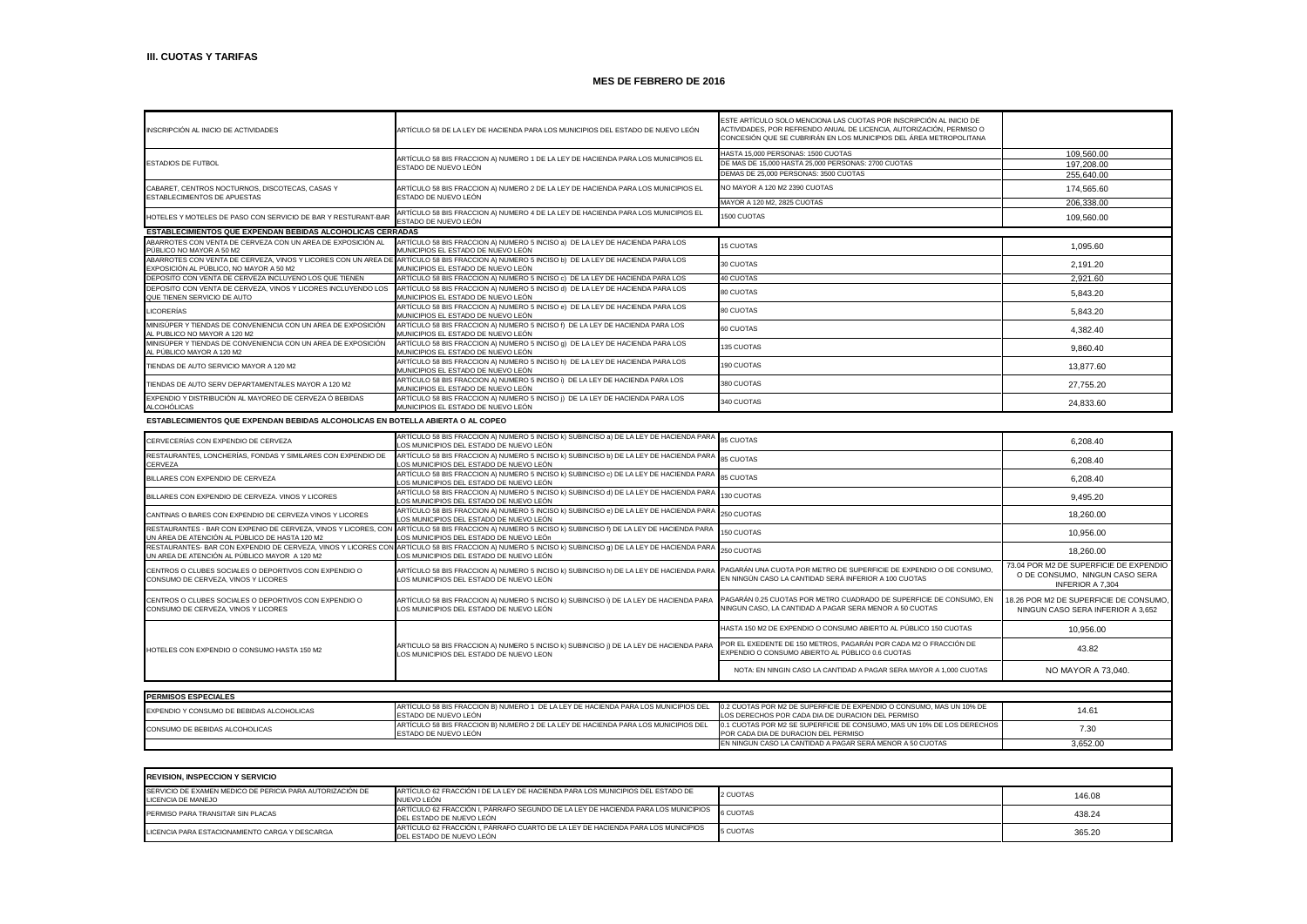| INSCRIPCIÓN AL INICIO DE ACTIVIDADES                                                                      | ARTÍCULO 58 DE LA LEY DE HACIENDA PARA LOS MUNICIPIOS DEL ESTADO DE NUEVO LEÓN                                      | ESTE ARTÍCULO SOLO MENCIONA LAS CUOTAS POR INSCRIPCIÓN AL INICIO DE<br>ACTIVIDADES, POR REFRENDO ANUAL DE LICENCIA, AUTORIZACIÓN, PERMISO O<br>CONCESIÓN QUE SE CUBRIRÁN EN LOS MUNICIPIOS DEL ÁREA METROPOLITANA |            |
|-----------------------------------------------------------------------------------------------------------|---------------------------------------------------------------------------------------------------------------------|-------------------------------------------------------------------------------------------------------------------------------------------------------------------------------------------------------------------|------------|
|                                                                                                           | ARTÍCULO 58 BIS FRACCION A) NUMERO 1 DE LA LEY DE HACIENDA PARA LOS MUNICIPIOS EL                                   | HASTA 15,000 PERSONAS: 1500 CUOTAS                                                                                                                                                                                | 109.560.00 |
| <b>ESTADIOS DE FUTBOL</b>                                                                                 | ESTADO DE NUEVO LEÓN                                                                                                | DE MAS DE 15.000 HASTA 25.000 PERSONAS: 2700 CUOTAS                                                                                                                                                               | 197.208.00 |
|                                                                                                           |                                                                                                                     | DEMAS DE 25,000 PERSONAS: 3500 CUOTAS                                                                                                                                                                             | 255.640.00 |
| CABARET, CENTROS NOCTURNOS, DISCOTECAS, CASAS Y<br>ESTABLECIMIENTOS DE APUESTAS                           | ARTÍCULO 58 BIS FRACCION A) NUMERO 2 DE LA LEY DE HACIENDA PARA LOS MUNICIPIOS EL<br>ESTADO DE NUEVO LEÓN           | NO MAYOR A 120 M2 2390 CUOTAS                                                                                                                                                                                     | 174.565.60 |
|                                                                                                           |                                                                                                                     | MAYOR A 120 M2, 2825 CUOTAS                                                                                                                                                                                       | 206.338.00 |
| HOTELES Y MOTELES DE PASO CON SERVICIO DE BAR Y RESTURANT-BAR                                             | ARTÍCULO 58 BIS FRACCION A) NUMERO 4 DE LA LEY DE HACIENDA PARA LOS MUNICIPIOS EL<br>ESTADO DE NUEVO LEÓN           | 1500 CUOTAS                                                                                                                                                                                                       | 109.560.00 |
| <b>ESTABLECIMIENTOS QUE EXPENDAN BEBIDAS ALCOHOLICAS CERRADAS</b>                                         |                                                                                                                     |                                                                                                                                                                                                                   |            |
| ABARROTES CON VENTA DE CERVEZA CON UN AREA DE EXPOSICIÓN AL<br>PÚBLICO NO MAYOR A 50 M2                   | ARTÍCULO 58 BIS FRACCION A) NUMERO 5 INCISO a) DE LA LEY DE HACIENDA PARA LOS<br>MUNICIPIOS EL ESTADO DE NUEVO LEÓN | <b>15 CUOTAS</b>                                                                                                                                                                                                  | 1.095.60   |
| ABARROTES CON VENTA DE CERVEZA, VINOS Y LICORES CON UN AREA DE<br>EXPOSICIÓN AL PÚBLICO, NO MAYOR A 50 M2 | ARTÍCULO 58 BIS FRACCION A) NUMERO 5 INCISO b) DE LA LEY DE HACIENDA PARA LOS<br>MUNICIPIOS EL ESTADO DE NUEVO LEÓN | 30 CUOTAS                                                                                                                                                                                                         | 2.191.20   |
| DEPOSITO CON VENTA DE CERVEZA INCLUYENO LOS QUE TIENEN                                                    | ARTÍCULO 58 BIS FRACCION A) NUMERO 5 INCISO c) DE LA LEY DE HACIENDA PARA LOS                                       | 40 CUOTAS                                                                                                                                                                                                         | 2.921.60   |
| DEPOSITO CON VENTA DE CERVEZA, VINOS Y LICORES INCLUYENDO LOS<br>QUE TIENEN SERVICIO DE AUTO              | ARTÍCULO 58 BIS FRACCION A) NUMERO 5 INCISO d) DE LA LEY DE HACIENDA PARA LOS<br>MUNICIPIOS EL ESTADO DE NUEVO LEÓN | <b>80 CUOTAS</b>                                                                                                                                                                                                  | 5,843.20   |
| <b>LICORERÍAS</b>                                                                                         | ARTÍCULO 58 BIS FRACCION A) NUMERO 5 INCISO e) DE LA LEY DE HACIENDA PARA LOS<br>MUNICIPIOS EL ESTADO DE NUEVO LEÓN | 80 CUOTAS                                                                                                                                                                                                         | 5.843.20   |
| MINISÚPER Y TIENDAS DE CONVENIENCIA CON UN AREA DE EXPOSICIÓN<br>AL PUBLICO NO MAYOR A 120 M2             | ARTÍCULO 58 BIS FRACCION A) NUMERO 5 INCISO f) DE LA LEY DE HACIENDA PARA LOS<br>MUNICIPIOS EL ESTADO DE NUEVO LEÓN | 60 CUOTAS                                                                                                                                                                                                         | 4.382.40   |
| MINISÚPER Y TIENDAS DE CONVENIENCIA CON UN AREA DE EXPOSICIÓN<br>AL PÚBLICO MAYOR A 120 M2                | ARTÍCULO 58 BIS FRACCION A) NUMERO 5 INCISO g) DE LA LEY DE HACIENDA PARA LOS<br>MUNICIPIOS EL ESTADO DE NUEVO LEÓN | 135 CUOTAS                                                                                                                                                                                                        | 9.860.40   |
| TIENDAS DE AUTO SERVICIO MAYOR A 120 M2                                                                   | ARTÍCULO 58 BIS FRACCION A) NUMERO 5 INCISO h) DE LA LEY DE HACIENDA PARA LOS<br>MUNICIPIOS EL ESTADO DE NUEVO LEÓN | 190 CUOTAS                                                                                                                                                                                                        | 13,877.60  |
| TIENDAS DE AUTO SERV DEPARTAMENTALES MAYOR A 120 M2                                                       | ARTÍCULO 58 BIS FRACCION A) NUMERO 5 INCISO i) DE LA LEY DE HACIENDA PARA LOS<br>MUNICIPIOS EL ESTADO DE NUEVO LEÓN | 380 CUOTAS                                                                                                                                                                                                        | 27.755.20  |
| EXPENDIO Y DISTRIBUCIÓN AL MAYOREO DE CERVEZA Ó BEBIDAS<br>ALCOHÓLICAS                                    | ARTÍCULO 58 BIS FRACCION A) NUMERO 5 INCISO ¡) DE LA LEY DE HACIENDA PARA LOS<br>MUNICIPIOS EL ESTADO DE NUEVO LEÓN | 340 CUOTAS                                                                                                                                                                                                        | 24.833.60  |

### **ESTABLECIMIENTOS QUE EXPENDAN BEBIDAS ALCOHOLICAS EN BOTELLA ABIERTA O AL COPEO**

| CERVECERÍAS CON EXPENDIO DE CERVEZA                                                          | ARTÍCULO 58 BIS FRACCION A) NUMERO 5 INCISO k) SUBINCISO a) DE LA LEY DE HACIENDA PARA 85 CUOTAS<br>LOS MUNICIPIOS DEL ESTADO DE NUEVO LEÓN                                                       |                                                                                                                                | 6.208.40                                                                                            |
|----------------------------------------------------------------------------------------------|---------------------------------------------------------------------------------------------------------------------------------------------------------------------------------------------------|--------------------------------------------------------------------------------------------------------------------------------|-----------------------------------------------------------------------------------------------------|
| RESTAURANTES, LONCHERÍAS, FONDAS Y SIMILARES CON EXPENDIO DE<br>CERVEZA                      | ARTÍCULO 58 BIS FRACCION A) NUMERO 5 INCISO k) SUBINCISO b) DE LA LEY DE HACIENDA PARA<br>LOS MUNICIPIOS DEL ESTADO DE NUEVO LEÓN                                                                 | 85 CUOTAS                                                                                                                      | 6,208.40                                                                                            |
| BILLARES CON EXPENDIO DE CERVEZA                                                             | ARTÍCULO 58 BIS FRACCION A) NUMERO 5 INCISO k) SUBINCISO c) DE LA LEY DE HACIENDA PARA<br>LOS MUNICIPIOS DEL ESTADO DE NUEVO LEÓN                                                                 | <b>85 CUOTAS</b>                                                                                                               | 6.208.40                                                                                            |
| BILLARES CON EXPENDIO DE CERVEZA. VINOS Y LICORES                                            | ARTÍCULO 58 BIS FRACCION A) NUMERO 5 INCISO k) SUBINCISO d) DE LA LEY DE HACIENDA PARA<br>LOS MUNICIPIOS DEL ESTADO DE NUEVO LEÓN                                                                 | 130 CUOTAS                                                                                                                     | 9,495.20                                                                                            |
| CANTINAS O BARES CON EXPENDIO DE CERVEZA VINOS Y LICORES                                     | ARTÍCULO 58 BIS FRACCION A) NUMERO 5 INCISO k) SUBINCISO e) DE LA LEY DE HACIENDA PARA<br>LOS MUNICIPIOS DEL ESTADO DE NUEVO LEÓN                                                                 | 250 CUOTAS                                                                                                                     | 18,260.00                                                                                           |
| UN ÁREA DE ATENCIÓN AL PÚBLICO DE HASTA 120 M2                                               | RESTAURANTES - BAR CON EXPENIO DE CERVEZA, VINOS Y LICORES, CON ARTÍCULO 58 BIS FRACCION A) NUMERO 5 INCISO k) SUBINCISO f) DE LA LEY DE HACIENDA PARA<br>LOS MUNICIPIOS DEL ESTADO DE NUEVO LEÓn | 150 CUOTAS                                                                                                                     | 10,956.00                                                                                           |
| UN AREA DE ATENCIÓN AL PÚBLICO MAYOR A 120 M2                                                | RESTAURANTES- BAR CON EXPENDIO DE CERVEZA, VINOS Y LICORES CON ARTÍCULO 58 BIS FRACCION A) NUMERO 5 INCISO k) SUBINCISO q) DE LA LEY DE HACIENDA PARA<br>LOS MUNICIPIOS DEL ESTADO DE NUEVO LEÓN  | 250 CUOTAS                                                                                                                     | 18,260.00                                                                                           |
| CENTROS O CLUBES SOCIALES O DEPORTIVOS CON EXPENDIO O<br>CONSUMO DE CERVEZA, VINOS Y LICORES | ARTÍCULO 58 BIS FRACCION A) NUMERO 5 INCISO k) SUBINCISO h) DE LA LEY DE HACIENDA PARA<br>LOS MUNICIPIOS DEL ESTADO DE NUEVO LEÓN                                                                 | PAGARÁN UNA CUOTA POR METRO DE SUPERFICIE DE EXPENDIO O DE CONSUMO,<br>EN NINGÚN CASO LA CANTIDAD SERÁ INFERIOR A 100 CUOTAS   | 73.04 POR M2 DE SUPERFICIE DE EXPENDIO<br>O DE CONSUMO, NINGUN CASO SERA<br><b>INFERIOR A 7.304</b> |
| CENTROS O CLUBES SOCIALES O DEPORTIVOS CON EXPENDIO O<br>CONSUMO DE CERVEZA, VINOS Y LICORES | ARTÍCULO 58 BIS FRACCION A) NUMERO 5 INCISO k) SUBINCISO i) DE LA LEY DE HACIENDA PARA<br>LOS MUNICIPIOS DEL ESTADO DE NUEVO LEÓN.                                                                | PAGARÁN 0.25 CUOTAS POR METRO CUADRADO DE SUPERFICIE DE CONSUMO. EN<br>NINGUN CASO. LA CANTIDAD A PAGAR SERA MENOR A 50 CUOTAS | 18.26 POR M2 DE SUPERFICIE DE CONSUMO,<br>NINGUN CASO SERA INFERIOR A 3.652                         |
|                                                                                              |                                                                                                                                                                                                   | HASTA 150 M2 DE EXPENDIO O CONSUMO ABIERTO AL PÚBLICO 150 CUOTAS                                                               | 10,956.00                                                                                           |
| HOTELES CON EXPENDIO O CONSUMO HASTA 150 M2                                                  | ARTICULO 58 BIS FRACCION A) NUMERO 5 INCISO k) SUBINCISO ¡) DE LA LEY DE HACIENDA PARA<br>LOS MUNICIPIOS DEL ESTADO DE NUEVO LEON                                                                 | POR EL EXEDENTE DE 150 METROS, PAGARÁN POR CADA M2 O FRACCIÓN DE<br>EXPENDIO O CONSUMO ABIERTO AL PÚBLICO 0.6 CUOTAS           | 43.82                                                                                               |
|                                                                                              |                                                                                                                                                                                                   | NOTA: EN NINGIN CASO LA CANTIDAD A PAGAR SERA MAYOR A 1,000 CUOTAS                                                             | NO MAYOR A 73,040.                                                                                  |
|                                                                                              |                                                                                                                                                                                                   |                                                                                                                                |                                                                                                     |

| <b>PERMISOS ESPECIALES</b>                |                                                                                    |                                                                        |          |
|-------------------------------------------|------------------------------------------------------------------------------------|------------------------------------------------------------------------|----------|
| EXPENDIO Y CONSUMO DE BEBIDAS ALCOHOLICAS | ARTÍCULO 58 BIS FRACCION B) NUMERO 1 DE LA LEY DE HACIENDA PARA LOS MUNICIPIOS DEL | 0.2 CUOTAS POR M2 DE SUPERFICIE DE EXPENDIO O CONSUMO. MAS UN 10% DE   | 14.61    |
|                                           | ESTADO DE NUEVO LEÓN                                                               | LLOS DERECHOS POR CADA DIA DE DURACION DEL PERMISO                     |          |
| CONSUMO DE BEBIDAS ALCOHOLICAS            | ARTÍCULO 58 BIS FRACCION B) NUMERO 2 DE LA LEY DE HACIENDA PARA LOS MUNICIPIOS DEL | 0.1 CUOTAS POR M2 SE SUPERFICIE DE CONSUMO. MAS UN 10% DE LOS DERECHOS | 7.3(     |
|                                           | ESTADO DE NUEVO LEÓN                                                               | POR CADA DIA DE DURACION DEL PERMISO                                   |          |
|                                           |                                                                                    | EN NINGUN CASO LA CANTIDAD A PAGAR SERÁ MENOR A 50 CUOTAS              | 3.652.00 |

| <b>REVISION. INSPECCION Y SERVICIO</b>                                                  |                                                                                                               |          |        |
|-----------------------------------------------------------------------------------------|---------------------------------------------------------------------------------------------------------------|----------|--------|
| <b>ISERVICIO DE EXAMEN MEDICO DE PERICIA PARA AUTORIZACIÓN DE</b><br>LICENCIA DE MANEJO | ARTÍCULO 62 FRACCIÓN I DE LA LEY DE HACIENDA PARA LOS MUNICIPIOS DEL ESTADO DE<br>NUEVO LEÓN                  | 2 CUOTAS | 146.08 |
| PERMISO PARA TRANSITAR SIN PLACAS                                                       | ARTÍCULO 62 FRACCIÓN I, PÁRRAFO SEGUNDO DE LA LEY DE HACIENDA PARA LOS MUNICIPIOS<br>DEL ESTADO DE NUEVO LEÓN | 6 CUOTAS | 438.24 |
| LICENCIA PARA ESTACIONAMIENTO CARGA Y DESCARGA                                          | ARTÍCULO 62 FRACCIÓN I, PÁRRAFO CUARTO DE LA LEY DE HACIENDA PARA LOS MUNICIPIOS<br>DEL ESTADO DE NUEVO LEÓN  | 5 CUOTAS | 365.20 |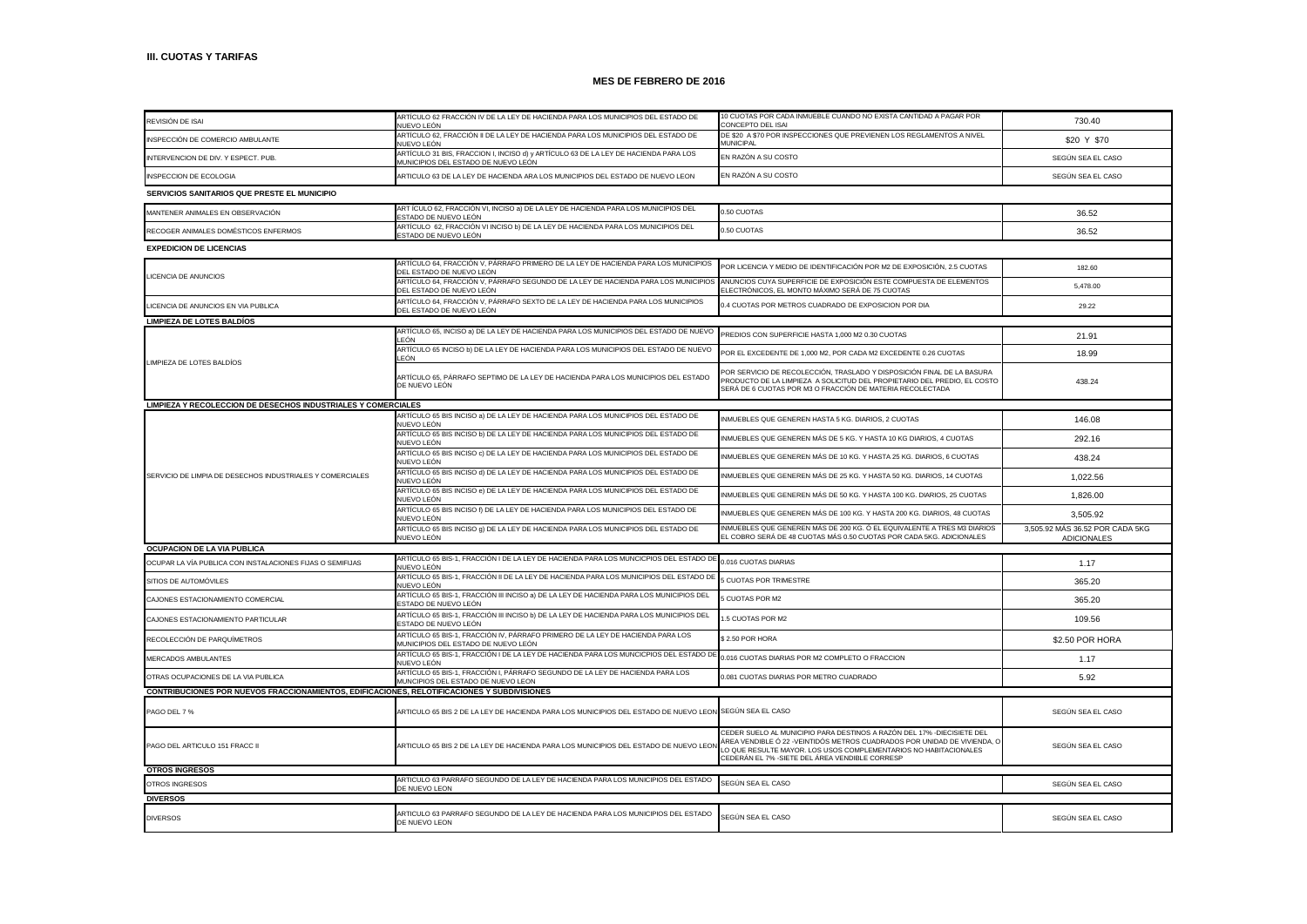| REVISIÓN DE ISAI                                                                            | ARTÍCULO 62 FRACCIÓN IV DE LA LEY DE HACIENDA PARA LOS MUNICIPIOS DEL ESTADO DE<br>NUEVO LEÓN                              | 10 CUOTAS POR CADA INMUEBLE CUANDO NO EXISTA CANTIDAD A PAGAR POR<br>CONCEPTO DEL ISAI                                                                                                                                                                                   | 730.40                                                |  |  |
|---------------------------------------------------------------------------------------------|----------------------------------------------------------------------------------------------------------------------------|--------------------------------------------------------------------------------------------------------------------------------------------------------------------------------------------------------------------------------------------------------------------------|-------------------------------------------------------|--|--|
| INSPECCIÓN DE COMERCIO AMBULANTE                                                            | ARTÍCULO 62, FRACCIÓN II DE LA LEY DE HACIENDA PARA LOS MUNICIPIOS DEL ESTADO DE<br>NUFVO LEÓN                             | DE \$20 A \$70 POR INSPECCIONES QUE PREVIENEN LOS REGLAMENTOS A NIVEL<br><b>MUNICIPAL</b>                                                                                                                                                                                | \$20 Y \$70                                           |  |  |
| INTERVENCION DE DIV. Y ESPECT. PUB.                                                         | ARTÍCULO 31 BIS, FRACCION I, INCISO d) y ARTÍCULO 63 DE LA LEY DE HACIENDA PARA LOS<br>MUNICIPIOS DEL ESTADO DE NUEVO LEÓN | EN RAZÓN A SU COSTO                                                                                                                                                                                                                                                      | SEGÚN SEA EL CASO                                     |  |  |
| INSPECCION DE ECOLOGIA                                                                      | ARTICULO 63 DE LA LEY DE HACIENDA ARA LOS MUNICIPIOS DEL ESTADO DE NUEVO LEON                                              | EN RAZÓN A SU COSTO                                                                                                                                                                                                                                                      | SEGÚN SEA EL CASO                                     |  |  |
| SERVICIOS SANITARIOS QUE PRESTE EL MUNICIPIO                                                |                                                                                                                            |                                                                                                                                                                                                                                                                          |                                                       |  |  |
| MANTENER ANIMALES EN OBSERVACIÓN                                                            | ART ÍCULO 62, FRACCIÓN VI, INCISO a) DE LA LEY DE HACIENDA PARA LOS MUNICIPIOS DEL<br>STADO DE NUEVO LEÓN                  | 0.50 CUOTAS                                                                                                                                                                                                                                                              | 36.52                                                 |  |  |
| RECOGER ANIMALES DOMÉSTICOS ENFERMOS                                                        | ARTÍCULO 62, FRACCIÓN VI INCISO b) DE LA LEY DE HACIENDA PARA LOS MUNICIPIOS DEL<br><b>ESTADO DE NUEVO LEÓN</b>            | 0.50 CUOTAS                                                                                                                                                                                                                                                              | 36.52                                                 |  |  |
| <b>EXPEDICION DE LICENCIAS</b>                                                              |                                                                                                                            |                                                                                                                                                                                                                                                                          |                                                       |  |  |
|                                                                                             | ARTÍCULO 64, FRACCIÓN V, PÁRRAFO PRIMERO DE LA LEY DE HACIENDA PARA LOS MUNICIPIOS<br>DEL ESTADO DE NUEVO LEÓN             | POR LICENCIA Y MEDIO DE IDENTIFICACIÓN POR M2 DE EXPOSICIÓN, 2.5 CUOTAS                                                                                                                                                                                                  | 182.60                                                |  |  |
| LICENCIA DE ANUNCIOS                                                                        | ARTÍCULO 64, FRACCIÓN V, PÁRRAFO SEGUNDO DE LA LEY DE HACIENDA PARA LOS MUNICIPIOS<br>DEL ESTADO DE NUEVO LEÓN             | ANUNCIOS CUYA SUPERFICIE DE EXPOSICIÓN ESTE COMPUESTA DE ELEMENTOS<br>ELECTRÓNICOS, EL MONTO MÁXIMO SERÁ DE 75 CUOTAS                                                                                                                                                    | 5,478.00                                              |  |  |
| LICENCIA DE ANUNCIOS EN VIA PUBLICA                                                         | ARTÍCULO 64. FRACCIÓN V. PÁRRAFO SEXTO DE LA LEY DE HACIENDA PARA LOS MUNICIPIOS<br>DEL ESTADO DE NUEVO LEÓN               | 0.4 CUOTAS POR METROS CUADRADO DE EXPOSICION POR DIA                                                                                                                                                                                                                     | 29.22                                                 |  |  |
|                                                                                             |                                                                                                                            |                                                                                                                                                                                                                                                                          |                                                       |  |  |
| <b>LIMPIEZA DE LOTES BALDÍOS</b>                                                            | ARTÍCULO 65, INCISO a) DE LA LEY DE HACIENDA PARA LOS MUNICIPIOS DEL ESTADO DE NUEVO                                       |                                                                                                                                                                                                                                                                          |                                                       |  |  |
|                                                                                             | FÓN                                                                                                                        | PREDIOS CON SUPERFICIE HASTA 1,000 M2 0.30 CUOTAS                                                                                                                                                                                                                        | 21.91                                                 |  |  |
|                                                                                             | ARTÍCULO 65 INCISO b) DE LA LEY DE HACIENDA PARA LOS MUNICIPIOS DEL ESTADO DE NUEVO<br>LEÓN                                | POR EL EXCEDENTE DE 1,000 M2, POR CADA M2 EXCEDENTE 0.26 CUOTAS                                                                                                                                                                                                          | 18.99                                                 |  |  |
| LIMPIEZA DE LOTES BALDÍOS                                                                   | ARTÍCULO 65, PÁRRAFO SEPTIMO DE LA LEY DE HACIENDA PARA LOS MUNICIPIOS DEL ESTADO<br>DE NUEVO LEÓN                         | POR SERVICIO DE RECOLECCIÓN, TRASLADO Y DISPOSICIÓN FINAL DE LA BASURA<br>PRODUCTO DE LA LIMPIEZA A SOLICITUD DEL PROPIETARIO DEL PREDIO, EL COSTO<br>SERÁ DE 6 CUOTAS POR M3 O FRACCIÓN DE MATERIA RECOLECTADA                                                          | 438.24                                                |  |  |
| LIMPIEZA Y RECOLECCION DE DESECHOS INDUSTRIALES Y COMERCIALES                               |                                                                                                                            |                                                                                                                                                                                                                                                                          |                                                       |  |  |
|                                                                                             | ARTÍCULO 65 BIS INCISO a) DE LA LEY DE HACIENDA PARA LOS MUNICIPIOS DEL ESTADO DE<br>NUEVO LEÓN                            | INMUEBLES QUE GENEREN HASTA 5 KG. DIARIOS, 2 CUOTAS                                                                                                                                                                                                                      | 146.08                                                |  |  |
|                                                                                             | ARTÍCULO 65 BIS INCISO b) DE LA LEY DE HACIENDA PARA LOS MUNICIPIOS DEL ESTADO DE<br>NUEVO LEÓN                            | INMUEBLES QUE GENEREN MÁS DE 5 KG. Y HASTA 10 KG DIARIOS, 4 CUOTAS                                                                                                                                                                                                       | 292.16                                                |  |  |
|                                                                                             | ARTÍCULO 65 BIS INCISO c) DE LA LEY DE HACIENDA PARA LOS MUNICIPIOS DEL ESTADO DE<br>NUEVO LEÓN                            | INMUEBLES QUE GENEREN MÁS DE 10 KG. Y HASTA 25 KG. DIARIOS, 6 CUOTAS                                                                                                                                                                                                     | 438.24                                                |  |  |
| SERVICIO DE LIMPIA DE DESECHOS INDUSTRIALES Y COMERCIALES                                   | ARTÍCULO 65 BIS INCISO d) DE LA LEY DE HACIENDA PARA LOS MUNICIPIOS DEL ESTADO DE<br>NUEVO LEÓN                            | INMUEBLES QUE GENEREN MÁS DE 25 KG. Y HASTA 50 KG. DIARIOS, 14 CUOTAS                                                                                                                                                                                                    | 1,022.56                                              |  |  |
|                                                                                             | ARTÍCULO 65 BIS INCISO e) DE LA LEY DE HACIENDA PARA LOS MUNICIPIOS DEL ESTADO DE<br>NUFVO I FÓN                           | INMUEBLES QUE GENEREN MÁS DE 50 KG. Y HASTA 100 KG. DIARIOS, 25 CUOTAS                                                                                                                                                                                                   | 1,826.00                                              |  |  |
|                                                                                             | ARTÍCULO 65 BIS INCISO f) DE LA LEY DE HACIENDA PARA LOS MUNICIPIOS DEL ESTADO DE<br>NUEVO LEÓN                            | INMUEBLES QUE GENEREN MÁS DE 100 KG. Y HASTA 200 KG. DIARIOS, 48 CUOTAS                                                                                                                                                                                                  | 3.505.92                                              |  |  |
|                                                                                             | ARTÍCULO 65 BIS INCISO g) DE LA LEY DE HACIENDA PARA LOS MUNICIPIOS DEL ESTADO DE<br>NUEVO LEÓN                            | INMUEBLES QUE GENEREN MÁS DE 200 KG. Ó EL EQUIVALENTE A TRES M3 DIARIOS<br>EL COBRO SERÁ DE 48 CUOTAS MÁS 0.50 CUOTAS POR CADA 5KG, ADICIONALES                                                                                                                          | 3,505.92 MÁS 36.52 POR CADA 5KG<br><b>ADICIONALES</b> |  |  |
| OCUPACION DE LA VIA PUBLICA                                                                 |                                                                                                                            |                                                                                                                                                                                                                                                                          |                                                       |  |  |
| OCUPAR LA VÍA PUBLICA CON INSTALACIONES FIJAS O SEMIFIJAS                                   | ARTÍCULO 65 BIS-1, FRACCIÓN I DE LA LEY DE HACIENDA PARA LOS MUNCICPIOS DEL ESTADO DE                                      | 0.016 CUOTAS DIARIAS                                                                                                                                                                                                                                                     | 1.17                                                  |  |  |
| SITIOS DE AUTOMÓVILES                                                                       | NUEVO LEÓN<br>ARTÍCULO 65 BIS-1, FRACCIÓN II DE LA LEY DE HACIENDA PARA LOS MUNICIPIOS DEL ESTADO DE                       | 5 CUOTAS POR TRIMESTRE                                                                                                                                                                                                                                                   | 365.20                                                |  |  |
| CAJONES ESTACIONAMIENTO COMERCIAL                                                           | NUFVO LEÓN<br>ARTÍCULO 65 BIS-1, FRACCIÓN III INCISO a) DE LA LEY DE HACIENDA PARA LOS MUNICIPIOS DEL                      | <b>CUOTAS POR M2</b>                                                                                                                                                                                                                                                     | 365.20                                                |  |  |
|                                                                                             | ESTADO DE NUEVO LEÓN<br>ARTÍCULO 65 BIS-1, FRACCIÓN III INCISO b) DE LA LEY DE HACIENDA PARA LOS MUNICIPIOS DEL            | 1.5 CUOTAS POR M2                                                                                                                                                                                                                                                        |                                                       |  |  |
| CAJONES ESTACIONAMIENTO PARTICULAR                                                          | ESTADO DE NUEVO LEÓN<br>ARTÍCULO 65 BIS-1, FRACCIÓN IV, PÁRRAFO PRIMERO DE LA LEY DE HACIENDA PARA LOS                     |                                                                                                                                                                                                                                                                          | 109.56                                                |  |  |
| RECOLECCIÓN DE PARQUÍMETROS                                                                 | MUNICIPIOS DEL ESTADO DE NUEVO LEÓN                                                                                        | \$2.50 POR HORA                                                                                                                                                                                                                                                          | \$2.50 POR HORA                                       |  |  |
| MERCADOS AMBULANTES                                                                         | ARTÍCULO 65 BIS-1, FRACCIÓN I DE LA LEY DE HACIENDA PARA LOS MUNCICPIOS DEL ESTADO DE<br>NUEVO LEÓN                        | 0.016 CUOTAS DIARIAS POR M2 COMPLETO O FRACCION                                                                                                                                                                                                                          | 1.17                                                  |  |  |
| OTRAS OCUPACIONES DE LA VIA PUBLICA                                                         | ARTÍCULO 65 BIS-1, FRACCIÓN I, PÁRRAFO SEGUNDO DE LA LEY DE HACIENDA PARA LOS<br>MUNCIPIOS DEL ESTADO DE NUEVO LEON        | 0.081 CUOTAS DIARIAS POR METRO CUADRADO                                                                                                                                                                                                                                  | 5.92                                                  |  |  |
| CONTRIBUCIONES POR NUEVOS FRACCIONAMIENTOS, EDIFICACIONES, RELOTIFICACIONES Y SUBDIVISIONES |                                                                                                                            |                                                                                                                                                                                                                                                                          |                                                       |  |  |
| PAGO DEL 7 %                                                                                | ARTICULO 65 BIS 2 DE LA LEY DE HACIENDA PARA LOS MUNICIPIOS DEL ESTADO DE NUEVO LEON SEGÚN SEA EL CASO                     |                                                                                                                                                                                                                                                                          | SEGÚN SEA EL CASO                                     |  |  |
| PAGO DEL ARTICULO 151 FRACC II                                                              | ARTICULO 65 BIS 2 DE LA LEY DE HACIENDA PARA LOS MUNICIPIOS DEL ESTADO DE NUEVO LEO                                        | CEDER SUELO AL MUNICIPIO PARA DESTINOS A RAZÓN DEL 17% -DIECISIETE DEL<br>ÁREA VENDIBLE Ó 22 -VEINTIDÓS METROS CUADRADOS POR UNIDAD DE VIVIENDA, O<br>LO QUE RESULTE MAYOR, LOS USOS COMPLEMENTARIOS NO HABITACIONALES<br>CEDERÁN EL 7% -SIETE DEL ÁREA VENDIBLE CORRESP | SEGÚN SEA EL CASO                                     |  |  |
| <b>OTROS INGRESOS</b>                                                                       |                                                                                                                            |                                                                                                                                                                                                                                                                          |                                                       |  |  |
| OTROS INGRESOS                                                                              | ARTICULO 63 PARRAFO SEGUNDO DE LA LEY DE HACIENDA PARA LOS MUNICIPIOS DEL ESTADO<br>DE NUEVO LEON                          | SEGÚN SEA EL CASO                                                                                                                                                                                                                                                        | SEGÚN SEA EL CASO                                     |  |  |
| <b>DIVERSOS</b>                                                                             |                                                                                                                            |                                                                                                                                                                                                                                                                          |                                                       |  |  |
| <b>DIVERSOS</b>                                                                             | ARTICULO 63 PARRAFO SEGUNDO DE LA LEY DE HACIENDA PARA LOS MUNICIPIOS DEL ESTADO<br>DE NUEVO LEON                          | SEGÚN SEA EL CASO                                                                                                                                                                                                                                                        | SEGÚN SEA EL CASO                                     |  |  |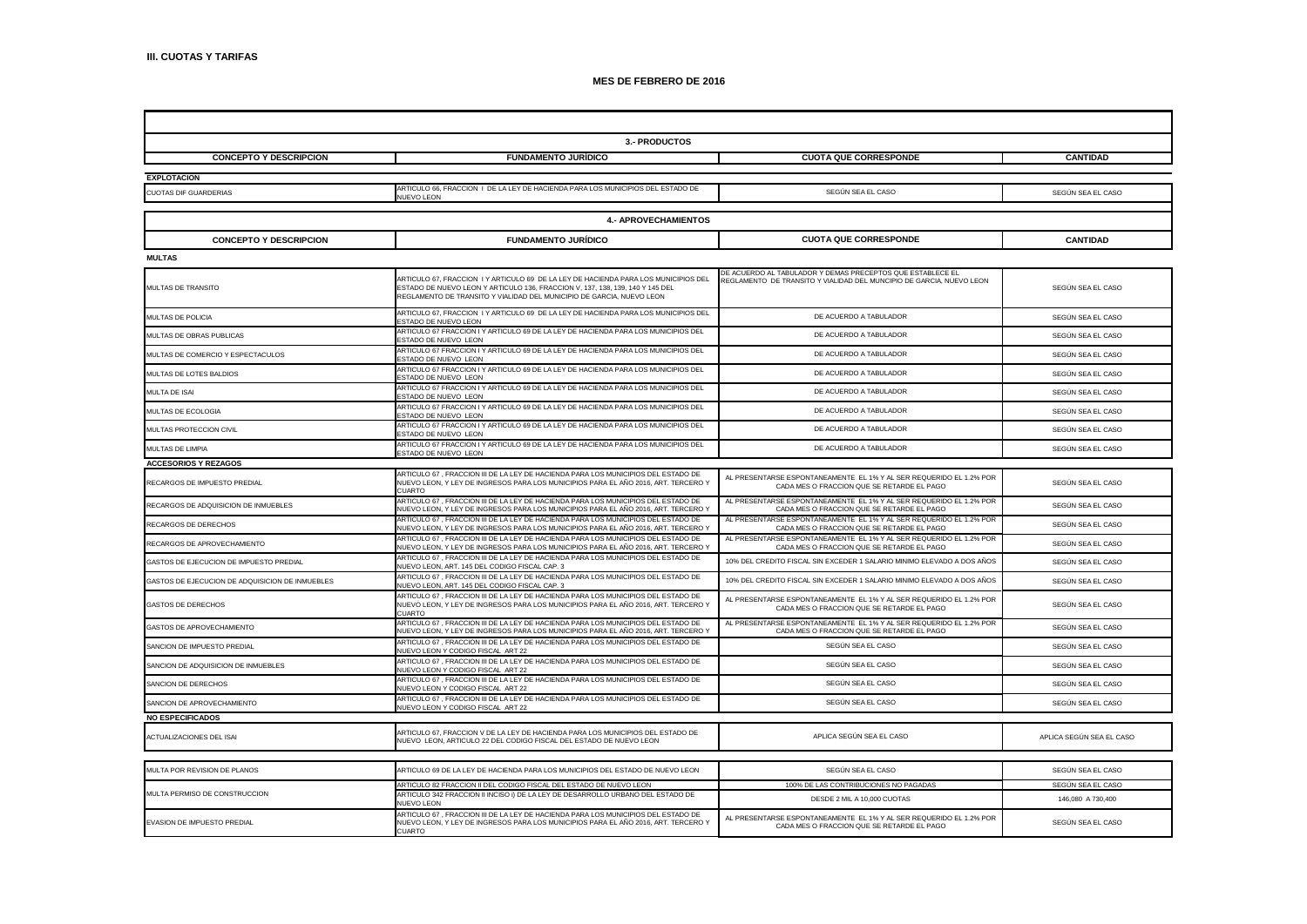| 3.- PRODUCTOS                                   |                                                                                                                                                                                                                                               |                                                                                                                                    |                          |  |  |
|-------------------------------------------------|-----------------------------------------------------------------------------------------------------------------------------------------------------------------------------------------------------------------------------------------------|------------------------------------------------------------------------------------------------------------------------------------|--------------------------|--|--|
| <b>CONCEPTO Y DESCRIPCION</b>                   | <b>FUNDAMENTO JURÍDICO</b>                                                                                                                                                                                                                    | <b>CUOTA QUE CORRESPONDE</b>                                                                                                       | <b>CANTIDAD</b>          |  |  |
| <b>EXPLOTACION</b>                              |                                                                                                                                                                                                                                               |                                                                                                                                    |                          |  |  |
| CUOTAS DIF GUARDERIAS                           | ARTICULO 66, FRACCION I DE LA LEY DE HACIENDA PARA LOS MUNICIPIOS DEL ESTADO DE<br>NUEVO LEON                                                                                                                                                 | SEGÚN SEA EL CASO                                                                                                                  | SEGÚN SEA EL CASO        |  |  |
| <b>4.- APROVECHAMIENTOS</b>                     |                                                                                                                                                                                                                                               |                                                                                                                                    |                          |  |  |
| <b>CONCEPTO Y DESCRIPCION</b>                   | <b>FUNDAMENTO JURÍDICO</b>                                                                                                                                                                                                                    | <b>CUOTA QUE CORRESPONDE</b>                                                                                                       | <b>CANTIDAD</b>          |  |  |
| <b>MULTAS</b>                                   |                                                                                                                                                                                                                                               |                                                                                                                                    |                          |  |  |
| MULTAS DE TRANSITO                              | ARTICULO 67, FRACCION I Y ARTICULO 69 DE LA LEY DE HACIENDA PARA LOS MUNICIPIOS DEL<br>ESTADO DE NUEVO LEON Y ARTICULO 136, FRACCION V, 137, 138, 139, 140 Y 145 DEL<br>REGLAMENTO DE TRANSITO Y VIALIDAD DEL MUNICIPIO DE GARCIA, NUEVO LEON | DE ACUERDO AL TABULADOR Y DEMAS PRECEPTOS QUE ESTABLECE EL<br>REGLAMENTO DE TRANSITO Y VIALIDAD DEL MUNCIPIO DE GARCIA, NUEVO LEON | SEGÚN SEA EL CASO        |  |  |
| MULTAS DE POLICIA                               | ARTICULO 67, FRACCION I Y ARTICULO 69 DE LA LEY DE HACIENDA PARA LOS MUNICIPIOS DEL<br>STADO DE NUEVO LEON                                                                                                                                    | DE ACUERDO A TABULADOR                                                                                                             | SEGÚN SEA EL CASO        |  |  |
| MULTAS DE OBRAS PUBLICAS                        | ARTICULO 67 FRACCION I Y ARTICULO 69 DE LA LEY DE HACIENDA PARA LOS MUNICIPIOS DEL<br><b>ESTADO DE NUEVO LEON</b>                                                                                                                             | DE ACUERDO A TABULADOR                                                                                                             | SEGÚN SEA EL CASO        |  |  |
| MULTAS DE COMERCIO Y ESPECTACULOS               | ARTICULO 67 FRACCION I Y ARTICULO 69 DE LA LEY DE HACIENDA PARA LOS MUNICIPIOS DEL<br>ESTADO DE NUEVO LEON                                                                                                                                    | DE ACUERDO A TABULADOR                                                                                                             | SEGÚN SEA EL CASO        |  |  |
| MULTAS DE LOTES BALDIOS                         | ARTICULO 67 FRACCION I Y ARTICULO 69 DE LA LEY DE HACIENDA PARA LOS MUNICIPIOS DEL<br><b>ESTADO DE NUEVO LEON</b>                                                                                                                             | DE ACUERDO A TABULADOR                                                                                                             | SEGÚN SEA EL CASO        |  |  |
| MULTA DE ISAI                                   | ARTICULO 67 FRACCION I Y ARTICULO 69 DE LA LEY DE HACIENDA PARA LOS MUNICIPIOS DEL<br>ESTADO DE NUEVO LEON                                                                                                                                    | DE ACUERDO A TABULADOR                                                                                                             | SEGÚN SEA EL CASO        |  |  |
| MULTAS DE ECOLOGIA                              | ARTICULO 67 FRACCION I Y ARTICULO 69 DE LA LEY DE HACIENDA PARA LOS MUNICIPIOS DEL<br>ESTADO DE NUEVO LEON                                                                                                                                    | DE ACUERDO A TABULADOR                                                                                                             | SEGÚN SEA EL CASO        |  |  |
| MULTAS PROTECCION CIVIL                         | ARTICULO 67 FRACCION I Y ARTICULO 69 DE LA LEY DE HACIENDA PARA LOS MUNICIPIOS DEL<br><b>ESTADO DE NUEVO LEON</b>                                                                                                                             | DE ACUERDO A TABULADOR                                                                                                             | SEGÚN SEA EL CASO        |  |  |
| MULTAS DE LIMPIA                                | ARTICULO 67 FRACCION I Y ARTICULO 69 DE LA LEY DE HACIENDA PARA LOS MUNICIPIOS DEL<br>STADO DE NUEVO LEON                                                                                                                                     | DE ACUERDO A TABULADOR                                                                                                             | SEGÚN SEA EL CASO        |  |  |
| <b>ACCESORIOS Y REZAGOS</b>                     |                                                                                                                                                                                                                                               |                                                                                                                                    |                          |  |  |
| RECARGOS DE IMPUESTO PREDIAL                    | ARTICULO 67 . FRACCION III DE LA LEY DE HACIENDA PARA LOS MUNICIPIOS DEL ESTADO DE<br>NUEVO LEON, Y LEY DE INGRESOS PARA LOS MUNICIPIOS PARA EL AÑO 2016, ART. TERCERO Y<br>CUARTO                                                            | AL PRESENTARSE ESPONTANEAMENTE EL 1% Y AL SER REQUERIDO EL 1.2% POR<br>CADA MES O FRACCION QUE SE RETARDE EL PAGO                  | SEGÚN SEA EL CASO        |  |  |
| RECARGOS DE ADQUISICION DE INMUEBLES            | ARTICULO 67, FRACCION III DE LA LEY DE HACIENDA PARA LOS MUNICIPIOS DEL ESTADO DE<br>NUEVO LEON, Y LEY DE INGRESOS PARA LOS MUNICIPIOS PARA EL AÑO 2016, ART. TERCERO Y                                                                       | AL PRESENTARSE ESPONTANEAMENTE EL 1% Y AL SER REQUERIDO EL 1.2% POR<br>CADA MES O FRACCION QUE SE RETARDE EL PAGO                  | SEGÚN SEA EL CASO        |  |  |
| RECARGOS DE DERECHOS                            | ARTICULO 67 , FRACCION III DE LA LEY DE HACIENDA PARA LOS MUNICIPIOS DEL ESTADO DE<br>NUEVO LEON, Y LEY DE INGRESOS PARA LOS MUNICIPIOS PARA EL AÑO 2016, ART. TERCERO Y                                                                      | AL PRESENTARSE ESPONTANEAMENTE EL 1% Y AL SER REQUERIDO EL 1.2% POR<br>CADA MES O FRACCION QUE SE RETARDE EL PAGO                  | SEGÚN SEA EL CASO        |  |  |
| RECARGOS DE APROVECHAMIENTO                     | ARTICULO 67 , FRACCION III DE LA LEY DE HACIENDA PARA LOS MUNICIPIOS DEL ESTADO DE<br>NUEVO LEON, Y LEY DE INGRESOS PARA LOS MUNICIPIOS PARA EL AÑO 2016, ART. TERCERO Y                                                                      | AL PRESENTARSE ESPONTANEAMENTE EL 1% Y AL SER REQUERIDO EL 1.2% POR<br>CADA MES O FRACCION QUE SE RETARDE EL PAGO                  | SEGÚN SEA EL CASO        |  |  |
| GASTOS DE EJECUCION DE IMPUESTO PREDIAL         | ARTICULO 67, FRACCION III DE LA LEY DE HACIENDA PARA LOS MUNICIPIOS DEL ESTADO DE<br>NUEVO LEON, ART. 145 DEL CODIGO FISCAL CAP. 3                                                                                                            | 10% DEL CREDITO FISCAL SIN EXCEDER 1 SALARIO MINIMO ELEVADO A DOS AÑOS                                                             | SEGÚN SEA EL CASO        |  |  |
| GASTOS DE EJECUCION DE ADQUISICION DE INMUEBLES | ARTICULO 67, FRACCION III DE LA LEY DE HACIENDA PARA LOS MUNICIPIOS DEL ESTADO DE<br>NUEVO LEON, ART. 145 DEL CODIGO FISCAL CAP. 3                                                                                                            | 10% DEL CREDITO FISCAL SIN EXCEDER 1 SALARIO MINIMO ELEVADO A DOS AÑOS                                                             | SEGÚN SEA EL CASO        |  |  |
| <b>GASTOS DE DERECHOS</b>                       | ARTICULO 67, FRACCION III DE LA LEY DE HACIENDA PARA LOS MUNICIPIOS DEL ESTADO DE<br>NUEVO LEON, Y LEY DE INGRESOS PARA LOS MUNICIPIOS PARA EL AÑO 2016, ART. TERCERO Y<br><b>CUARTO</b>                                                      | AL PRESENTARSE ESPONTANEAMENTE EL 1% Y AL SER REQUERIDO EL 1.2% POR<br>CADA MES O FRACCION QUE SE RETARDE EL PAGO                  | SEGÚN SEA EL CASO        |  |  |
| <b>GASTOS DE APROVECHAMIENTO</b>                | ARTICULO 67 , FRACCION III DE LA LEY DE HACIENDA PARA LOS MUNICIPIOS DEL ESTADO DE<br>NUEVO LEON, Y LEY DE INGRESOS PARA LOS MUNICIPIOS PARA EL AÑO 2016, ART. TERCERO Y                                                                      | AL PRESENTARSE ESPONTANEAMENTE EL 1% Y AL SER REQUERIDO EL 1.2% POR<br>CADA MES O FRACCION QUE SE RETARDE EL PAGO                  | SEGÚN SEA EL CASO        |  |  |
| SANCION DE IMPUESTO PREDIAL                     | ARTICULO 67, FRACCION III DE LA LEY DE HACIENDA PARA LOS MUNICIPIOS DEL ESTADO DE<br><b>IUEVO LEON Y CODIGO FISCAL ART 22</b>                                                                                                                 | SEGÚN SEA EL CASO                                                                                                                  | SEGÚN SEA EL CASO        |  |  |
| SANCION DE ADQUISICION DE INMUEBLES             | ARTICULO 67 , FRACCION III DE LA LEY DE HACIENDA PARA LOS MUNICIPIOS DEL ESTADO DE<br>NUEVO LEON Y CODIGO FISCAL ART 22                                                                                                                       | SEGUN SEA EL CASO                                                                                                                  | SEGÚN SEA EL CASO        |  |  |
| SANCION DE DERECHOS                             | ARTICULO 67, FRACCION III DE LA LEY DE HACIENDA PARA LOS MUNICIPIOS DEL ESTADO DE<br>NUEVO LEON Y CODIGO FISCAL ART 22                                                                                                                        | SEGÚN SEA EL CASO                                                                                                                  | SEGÚN SEA EL CASO        |  |  |
| SANCION DE APROVECHAMIENTO                      | ARTICULO 67, FRACCION III DE LA LEY DE HACIENDA PARA LOS MUNICIPIOS DEL ESTADO DE<br>NUEVO LEON Y CODIGO FISCAL ART 22                                                                                                                        | SEGÚN SEA EL CASO                                                                                                                  | SEGÚN SEA EL CASO        |  |  |
| <b>NO ESPECIFICADOS</b>                         |                                                                                                                                                                                                                                               |                                                                                                                                    |                          |  |  |
| ACTUALIZACIONES DEL ISAI                        | ARTICULO 67, FRACCION V DE LA LEY DE HACIENDA PARA LOS MUNICIPIOS DEL ESTADO DE<br>NUEVO LEON, ARTICULO 22 DEL CODIGO FISCAL DEL ESTADO DE NUEVO LEON                                                                                         | APLICA SEGÚN SEA EL CASO                                                                                                           | APLICA SEGÚN SEA EL CASO |  |  |
| MULTA POR REVISION DE PLANOS                    | ARTICULO 69 DE LA LEY DE HACIENDA PARA LOS MUNICIPIOS DEL ESTADO DE NUEVO LEON                                                                                                                                                                | SEGÚN SEA EL CASO                                                                                                                  | SEGÚN SEA EL CASO        |  |  |
|                                                 | ARTICULO 82 FRACCION II DEL CODIGO FISCAL DEL ESTADO DE NUEVO LEON                                                                                                                                                                            | 100% DE LAS CONTRIBUCIONES NO PAGADAS                                                                                              | SEGÚN SEA EL CASO        |  |  |
| MULTA PERMISO DE CONSTRUCCION                   | ARTICULO 342 FRACCION II INCISO i) DE LA LEY DE DESARROLLO URBANO DEL ESTADO DE<br><b>NUFVO LEON</b>                                                                                                                                          | DESDE 2 MIL A 10,000 CUOTAS                                                                                                        | 146,080 A 730,400        |  |  |
| EVASION DE IMPUESTO PREDIAL                     | ARTICULO 67 , FRACCION III DE LA LEY DE HACIENDA PARA LOS MUNICIPIOS DEL ESTADO DE<br>NUEVO LEON, Y LEY DE INGRESOS PARA LOS MUNICIPIOS PARA EL AÑO 2016, ART. TERCERO Y<br><b>CUARTO</b>                                                     | AL PRESENTARSE ESPONTANEAMENTE EL 1% Y AL SER REQUERIDO EL 1.2% POR<br>CADA MES O FRACCION QUE SE RETARDE EL PAGO                  | SEGÚN SEA EL CASO        |  |  |